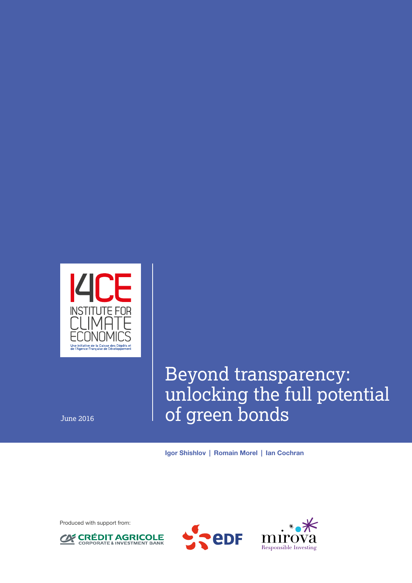

# Beyond transparency: unlocking the full potential June 2016 **of green bonds**

Igor Shishlov | Romain Morel | Ian Cochran

Produced with support from:





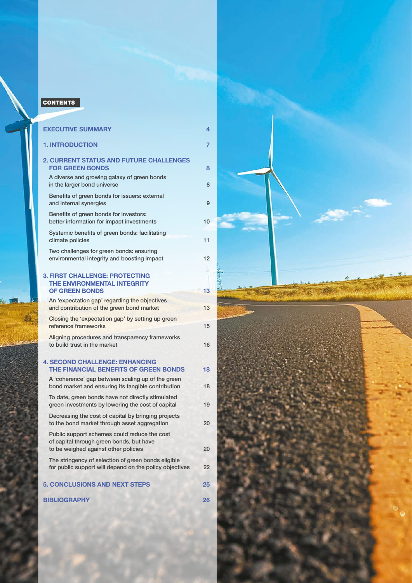## <span id="page-1-0"></span>**CONTENTS**

| <b>EXECUTIVE SUMMARY</b>                                                                                                         | 4  |
|----------------------------------------------------------------------------------------------------------------------------------|----|
| <b>1. INTRODUCTION</b>                                                                                                           | 7  |
| <b>2. CURRENT STATUS AND FUTURE CHALLENGES</b><br><b>FOR GREEN BONDS</b>                                                         | 8  |
| A diverse and growing galaxy of green bonds<br>in the larger bond universe                                                       | 8  |
| Benefits of green bonds for issuers: external<br>and internal synergies                                                          | 9  |
| Benefits of green bonds for investors:<br>better information for impact investments                                              | 10 |
| Systemic benefits of green bonds: facilitating<br>climate policies                                                               | 11 |
| Two challenges for green bonds: ensuring<br>environmental integrity and boosting impact                                          | 12 |
| <b>3. FIRST CHALLENGE: PROTECTING</b><br>THE ENVIRONMENTAL INTEGRITY<br><b>OF GREEN BONDS</b>                                    | 13 |
| An 'expectation gap' regarding the objectives<br>and contribution of the green bond market                                       | 13 |
| Closing the 'expectation gap' by setting up green<br>reference frameworks                                                        | 15 |
| Aligning procedures and transparency frameworks<br>to build trust in the market                                                  | 16 |
| <b>4. SECOND CHALLENGE: ENHANCING</b><br>THE FINANCIAL BENEFITS OF GREEN BONDS                                                   | 18 |
| A 'coherence' gap between scaling up of the green<br>bond market and ensuring its tangible contribution                          | 18 |
| To date, green bonds have not directly stimulated<br>green investments by lowering the cost of capital                           | 19 |
| Decreasing the cost of capital by bringing projects<br>to the bond market through asset aggregation                              | 20 |
| Public support schemes could reduce the cost<br>of capital through green bonds, but have<br>to be weighed against other policies | 20 |
| The stringency of selection of green bonds eligible<br>for public support will depend on the policy objectives                   | 22 |
| <b>5. CONCLUSIONS AND NEXT STEPS</b>                                                                                             | 25 |
| <b>BIBLIOGRAPHY</b>                                                                                                              | 26 |

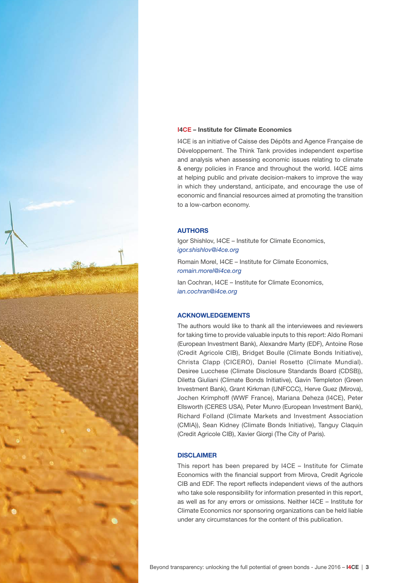

### I4CE – Institute for Climate Economics

I4CE is an initiative of Caisse des Dépôts and Agence Française de Développement. The Think Tank provides independent expertise and analysis when assessing economic issues relating to climate & energy policies in France and throughout the world. I4CE aims at helping public and private decision-makers to improve the way in which they understand, anticipate, and encourage the use of economic and financial resources aimed at promoting the transition to a low-carbon economy.

## AUTHORS

Igor Shishlov, I4CE – Institute for Climate Economics, *[igor.shishlov@i4ce.org](mailto:igor.shishlov%40i4ce.org?subject=)*

Romain Morel, I4CE – Institute for Climate Economics, *[romain.morel@i4ce.org](mailto:romain.morel%40i4ce.org?subject=)*

Ian Cochran, I4CE – Institute for Climate Economics, *[ian.cochran@i4ce.org](mailto:ian.cochran%40i4ce.org?subject=)*

## ACKNOWLEDGEMENTS

The authors would like to thank all the interviewees and reviewers for taking time to provide valuable inputs to this report: Aldo Romani (European Investment Bank), Alexandre Marty (EDF), Antoine Rose (Credit Agricole CIB), Bridget Boulle (Climate Bonds Initiative), Christa Clapp (CICERO), Daniel Rosetto (Climate Mundial). Desiree Lucchese (Climate Disclosure Standards Board (CDSB)), Diletta Giuliani (Climate Bonds Initiative), Gavin Templeton (Green Investment Bank), Grant Kirkman (UNFCCC), Herve Guez (Mirova), Jochen Krimphoff (WWF France), Mariana Deheza (I4CE), Peter Ellsworth (CERES USA), Peter Munro (European Investment Bank), Richard Folland (Climate Markets and Investment Association (CMIA)), Sean Kidney (Climate Bonds Initiative), Tanguy Claquin (Credit Agricole CIB), Xavier Giorgi (The City of Paris).

## DISCLAIMER

This report has been prepared by I4CE – Institute for Climate Economics with the financial support from Mirova, Credit Agricole CIB and EDF. The report reflects independent views of the authors who take sole responsibility for information presented in this report, as well as for any errors or omissions. Neither I4CE – Institute for Climate Economics nor sponsoring organizations can be held liable under any circumstances for the content of this publication.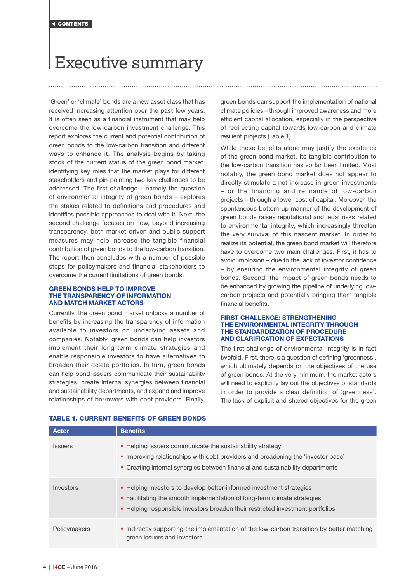## <span id="page-3-0"></span>Executive summary

'Green' or 'climate' bonds are a new asset class that has received increasing attention over the past few years. It is often seen as a financial instrument that may help overcome the low-carbon investment challenge. This report explores the current and potential contribution of green bonds to the low-carbon transition and different ways to enhance it. The analysis begins by taking stock of the current status of the green bond market, identifying key roles that the market plays for different stakeholders and pin-pointing two key challenges to be addressed. The first challenge – namely the question of environmental integrity of green bonds – explores the stakes related to definitions and procedures and identifies possible approaches to deal with it. Next, the second challenge focuses on how, beyond increasing transparency, both market-driven and public support measures may help increase the tangible financial contribution of green bonds to the low-carbon transition. The report then concludes with a number of possible steps for policymakers and financial stakeholders to overcome the current limitations of green bonds.

#### GREEN BONDS HELP TO IMPROVE THE TRANSPARENCY OF INFORMATION AND MATCH MARKET ACTORS

Currently, the green bond market unlocks a number of benefits by increasing the transparency of information available to investors on underlying assets and companies. Notably, green bonds can help investors implement their long-term climate strategies and enable responsible investors to have alternatives to broaden their delete portfolios. In turn, green bonds can help bond issuers communicate their sustainability strategies, create internal synergies between financial and sustainability departments, and expand and improve relationships of borrowers with debt providers. Finally,

green bonds can support the implementation of national climate policies – through improved awareness and more efficient capital allocation, especially in the perspective of redirecting capital towards low-carbon and climate resilient projects (Table 1).

While these benefits alone may justify the existence of the green bond market, its tangible contribution to the low-carbon transition has so far been limited. Most notably, the green bond market does not appear to directly stimulate a net increase in green investments – or the financing and refinance of low-carbon projects – through a lower cost of capital. Moreover, the spontaneous bottom-up manner of the development of green bonds raises reputational and legal risks related to environmental integrity, which increasingly threaten the very survival of this nascent market. In order to realize its potential, the green bond market will therefore have to overcome two main challenges. First, it has to avoid implosion – due to the lack of investor confidence – by ensuring the environmental integrity of green bonds. Second, the impact of green bonds needs to be enhanced by growing the pipeline of underlying lowcarbon projects and potentially bringing them tangible financial benefits.

#### FIRST CHALLENGE: STRENGTHENING THE ENVIRONMENTAL INTEGRITY THROUGH THE STANDARDIZATION OF PROCEDURE AND CLARIFICATION OF EXPECTATIONS

The first challenge of environmental integrity is in fact twofold. First, there is a question of defining 'greenness', which ultimately depends on the objectives of the use of green bonds. At the very minimum, the market actors will need to explicitly lay out the objectives of standards in order to provide a clear definition of 'greenness'. The lack of explicit and shared objectives for the green

| <b>Actor</b>   | <b>Benefits</b>                                                                                                                                                                                                                    |
|----------------|------------------------------------------------------------------------------------------------------------------------------------------------------------------------------------------------------------------------------------|
| <b>Issuers</b> | • Helping issuers communicate the sustainability strategy<br>• Improving relationships with debt providers and broadening the 'investor base'<br>• Creating internal synergies between financial and sustainability departments    |
| Investors      | • Helping investors to develop better-informed investment strategies<br>• Facilitating the smooth implementation of long-term climate strategies<br>• Helping responsible investors broaden their restricted investment portfolios |
| Policymakers   | • Indirectly supporting the implementation of the low-carbon transition by better matching<br>green issuers and investors                                                                                                          |

## TABLE 1. CURRENT BENEFITS OF GREEN BONDS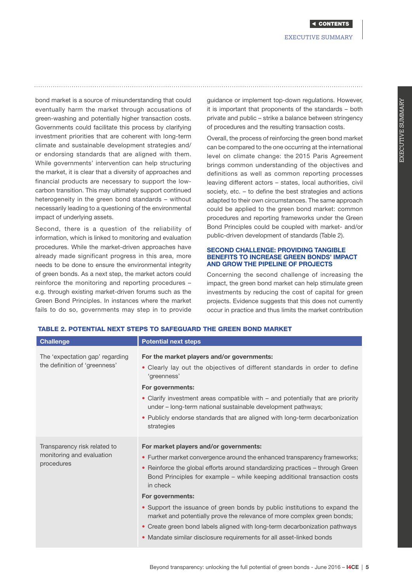bond market is a source of misunderstanding that could eventually harm the market through accusations of green-washing and potentially higher transaction costs. Governments could facilitate this process by clarifying investment priorities that are coherent with long-term climate and sustainable development strategies and/ or endorsing standards that are aligned with them. While governments' intervention can help structuring the market, it is clear that a diversity of approaches and financial products are necessary to support the lowcarbon transition. This may ultimately support continued heterogeneity in the green bond standards – without necessarily leading to a questioning of the environmental impact of underlying assets.

Second, there is a question of the reliability of information, which is linked to monitoring and evaluation procedures. While the market-driven approaches have already made significant progress in this area, more needs to be done to ensure the environmental integrity of green bonds. As a next step, the market actors could reinforce the monitoring and reporting procedures – e.g. through existing market-driven forums such as the Green Bond Principles. In instances where the market fails to do so, governments may step in to provide

guidance or implement top-down regulations. However, it is important that proponents of the standards – both private and public – strike a balance between stringency of procedures and the resulting transaction costs.

Overall, the process of reinforcing the green bond market can be compared to the one occurring at the international level on climate change: the 2015 Paris Agreement brings common understanding of the objectives and definitions as well as common reporting processes leaving different actors – states, local authorities, civil society, etc. – to define the best strategies and actions adapted to their own circumstances. The same approach could be applied to the green bond market: common procedures and reporting frameworks under the Green Bond Principles could be coupled with market- and/or public-driven development of standards (Table 2).

## SECOND CHALLENGE: PROVIDING TANGIBLE BENEFITS TO INCREASE GREEN BONDS' IMPACT AND GROW THE PIPELINE OF PROJECTS

Concerning the second challenge of increasing the impact, the green bond market can help stimulate green investments by reducing the cost of capital for green projects. Evidence suggests that this does not currently occur in practice and thus limits the market contribution

| <b>Challenge</b>                                                        | <b>Potential next steps</b>                                                                                                                                                                                                                                                                                                                                                                                                                                                                                                                                                                                                     |
|-------------------------------------------------------------------------|---------------------------------------------------------------------------------------------------------------------------------------------------------------------------------------------------------------------------------------------------------------------------------------------------------------------------------------------------------------------------------------------------------------------------------------------------------------------------------------------------------------------------------------------------------------------------------------------------------------------------------|
| The 'expectation gap' regarding<br>the definition of 'greenness'        | For the market players and/or governments:<br>• Clearly lay out the objectives of different standards in order to define<br>'greenness'<br>For governments:<br>• Clarify investment areas compatible with - and potentially that are priority<br>under – long-term national sustainable development pathways;<br>• Publicly endorse standards that are aligned with long-term decarbonization<br>strategies                                                                                                                                                                                                                     |
| Transparency risk related to<br>monitoring and evaluation<br>procedures | For market players and/or governments:<br>• Further market convergence around the enhanced transparency frameworks;<br>• Reinforce the global efforts around standardizing practices – through Green<br>Bond Principles for example - while keeping additional transaction costs<br>in check<br>For governments:<br>• Support the issuance of green bonds by public institutions to expand the<br>market and potentially prove the relevance of more complex green bonds;<br>• Create green bond labels aligned with long-term decarbonization pathways<br>• Mandate similar disclosure requirements for all asset-linked bonds |

## TABLE 2. POTENTIAL NEXT STEPS TO SAFEGUARD THE GREEN BOND MARKET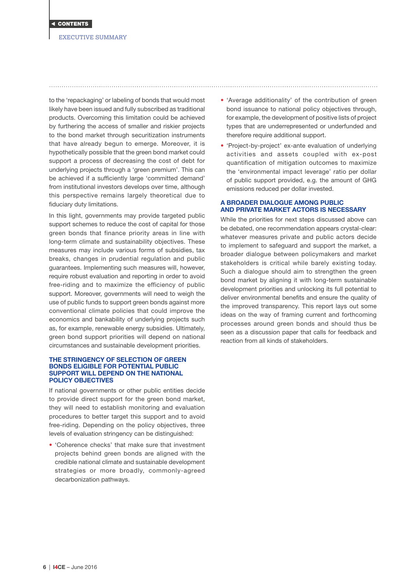

## EXECUTIVE SUMMARY

to the 'repackaging' or labeling of bonds that would most likely have been issued and fully subscribed as traditional products. Overcoming this limitation could be achieved by furthering the access of smaller and riskier projects to the bond market through securitization instruments that have already begun to emerge. Moreover, it is hypothetically possible that the green bond market could support a process of decreasing the cost of debt for underlying projects through a 'green premium'. This can be achieved if a sufficiently large 'committed demand' from institutional investors develops over time, although this perspective remains largely theoretical due to fiduciary duty limitations.

In this light, governments may provide targeted public support schemes to reduce the cost of capital for those green bonds that finance priority areas in line with long-term climate and sustainability objectives. These measures may include various forms of subsidies, tax breaks, changes in prudential regulation and public guarantees. Implementing such measures will, however, require robust evaluation and reporting in order to avoid free-riding and to maximize the efficiency of public support. Moreover, governments will need to weigh the use of public funds to support green bonds against more conventional climate policies that could improve the economics and bankability of underlying projects such as, for example, renewable energy subsidies. Ultimately, green bond support priorities will depend on national circumstances and sustainable development priorities.

#### THE STRINGENCY OF SELECTION OF GREEN BONDS ELIGIBLE FOR POTENTIAL PUBLIC SUPPORT WILL DEPEND ON THE NATIONAL POLICY OBJECTIVES

If national governments or other public entities decide to provide direct support for the green bond market, they will need to establish monitoring and evaluation procedures to better target this support and to avoid free-riding. Depending on the policy objectives, three levels of evaluation stringency can be distinguished:

• 'Coherence checks' that make sure that investment projects behind green bonds are aligned with the credible national climate and sustainable development strategies or more broadly, commonly-agreed decarbonization pathways.

- 'Average additionality' of the contribution of green bond issuance to national policy objectives through, for example, the development of positive lists of project types that are underrepresented or underfunded and therefore require additional support.
- 'Project-by-project' ex-ante evaluation of underlying activities and assets coupled with ex-post quantification of mitigation outcomes to maximize the 'environmental impact leverage' ratio per dollar of public support provided, e.g. the amount of GHG emissions reduced per dollar invested.

## A BROADER DIALOGUE AMONG PUBLIC AND PRIVATE MARKET ACTORS IS NECESSARY

While the priorities for next steps discussed above can be debated, one recommendation appears crystal-clear: whatever measures private and public actors decide to implement to safeguard and support the market, a broader dialogue between policymakers and market stakeholders is critical while barely existing today. Such a dialogue should aim to strengthen the green bond market by aligning it with long-term sustainable development priorities and unlocking its full potential to deliver environmental benefits and ensure the quality of the improved transparency. This report lays out some ideas on the way of framing current and forthcoming processes around green bonds and should thus be seen as a discussion paper that calls for feedback and reaction from all kinds of stakeholders.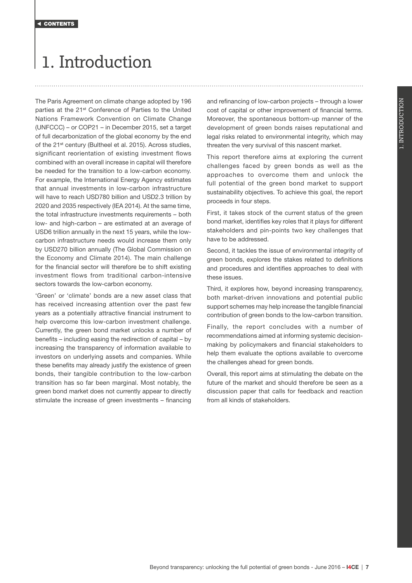# <span id="page-6-0"></span>1. Introduction

The Paris Agreement on climate change adopted by 196 parties at the 21<sup>st</sup> Conference of Parties to the United Nations Framework Convention on Climate Change (UNFCCC) – or COP21 – in December 2015, set a target of full decarbonization of the global economy by the end of the 21<sup>st</sup> century (Bultheel et al. 2015). Across studies, significant reorientation of existing investment flows combined with an overall increase in capital will therefore be needed for the transition to a low-carbon economy. For example, the International Energy Agency estimates that annual investments in low-carbon infrastructure will have to reach USD780 billion and USD2.3 trillion by 2020 and 2035 respectively (IEA 2014). At the same time, the total infrastructure investments requirements – both low- and high-carbon – are estimated at an average of USD6 trillion annually in the next 15 years, while the lowcarbon infrastructure needs would increase them only by USD270 billion annually (The Global Commission on the Economy and Climate 2014). The main challenge for the financial sector will therefore be to shift existing investment flows from traditional carbon-intensive sectors towards the low-carbon economy.

'Green' or 'climate' bonds are a new asset class that has received increasing attention over the past few years as a potentially attractive financial instrument to help overcome this low-carbon investment challenge. Currently, the green bond market unlocks a number of benefits – including easing the redirection of capital – by increasing the transparency of information available to investors on underlying assets and companies. While these benefits may already justify the existence of green bonds, their tangible contribution to the low-carbon transition has so far been marginal. Most notably, the green bond market does not currently appear to directly stimulate the increase of green investments – financing

and refinancing of low-carbon projects – through a lower cost of capital or other improvement of financial terms. Moreover, the spontaneous bottom-up manner of the development of green bonds raises reputational and legal risks related to environmental integrity, which may threaten the very survival of this nascent market.

This report therefore aims at exploring the current challenges faced by green bonds as well as the approaches to overcome them and unlock the full potential of the green bond market to support sustainability objectives. To achieve this goal, the report proceeds in four steps.

First, it takes stock of the current status of the green bond market, identifies key roles that it plays for different stakeholders and pin-points two key challenges that have to be addressed.

Second, it tackles the issue of environmental integrity of green bonds, explores the stakes related to definitions and procedures and identifies approaches to deal with these issues.

Third, it explores how, beyond increasing transparency, both market-driven innovations and potential public support schemes may help increase the tangible financial contribution of green bonds to the low-carbon transition.

Finally, the report concludes with a number of recommendations aimed at informing systemic decisionmaking by policymakers and financial stakeholders to help them evaluate the options available to overcome the challenges ahead for green bonds.

Overall, this report aims at stimulating the debate on the future of the market and should therefore be seen as a discussion paper that calls for feedback and reaction from all kinds of stakeholders.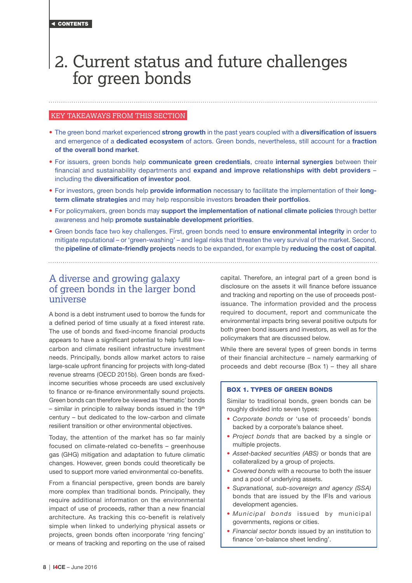## <span id="page-7-0"></span>2. Current status and future challenges for green bonds

## KEY TAKEAWAYS FROM THIS SECTION

- The green bond market experienced strong growth in the past years coupled with a diversification of issuers and emergence of a **dedicated ecosystem** of actors. Green bonds, nevertheless, still account for a **fraction** of the overall bond market.
- For issuers, green bonds help communicate green credentials, create internal synergies between their financial and sustainability departments and expand and improve relationships with debt providers including the diversification of investor pool.
- For investors, green bonds help provide information necessary to facilitate the implementation of their longterm climate strategies and may help responsible investors broaden their portfolios.
- For policymakers, green bonds may support the implementation of national climate policies through better awareness and help promote sustainable development priorities.
- Green bonds face two key challenges. First, green bonds need to ensure environmental integrity in order to mitigate reputational – or 'green-washing' – and legal risks that threaten the very survival of the market. Second, the **pipeline of climate-friendly projects** needs to be expanded, for example by reducing the cost of capital.

## A diverse and growing galaxy of green bonds in the larger bond universe

A bond is a debt instrument used to borrow the funds for a defined period of time usually at a fixed interest rate. The use of bonds and fixed-income financial products appears to have a significant potential to help fulfill lowcarbon and climate resilient infrastructure investment needs. Principally, bonds allow market actors to raise large-scale upfront financing for projects with long-dated revenue streams (OECD 2015b). Green bonds are fixedincome securities whose proceeds are used exclusively to finance or re-finance environmentally sound projects. Green bonds can therefore be viewed as 'thematic' bonds  $-$  similar in principle to railway bonds issued in the 19<sup>th</sup> century – but dedicated to the low-carbon and climate resilient transition or other environmental objectives.

Today, the attention of the market has so far mainly focused on climate-related co-benefits – greenhouse gas (GHG) mitigation and adaptation to future climatic changes. However, green bonds could theoretically be used to support more varied environmental co-benefits.

From a financial perspective, green bonds are barely more complex than traditional bonds. Principally, they require additional information on the environmental impact of use of proceeds, rather than a new financial architecture. As tracking this co-benefit is relatively simple when linked to underlying physical assets or projects, green bonds often incorporate 'ring fencing' or means of tracking and reporting on the use of raised capital. Therefore, an integral part of a green bond is disclosure on the assets it will finance before issuance and tracking and reporting on the use of proceeds postissuance. The information provided and the process required to document, report and communicate the environmental impacts bring several positive outputs for both green bond issuers and investors, as well as for the policymakers that are discussed below.

While there are several types of green bonds in terms of their financial architecture – namely earmarking of proceeds and debt recourse (Box 1) – they all share

## BOX 1. TYPES OF GREEN BONDS

Similar to traditional bonds, green bonds can be roughly divided into seven types:

- *Corporate bonds* or 'use of proceeds' bonds backed by a corporate's balance sheet.
- *Project bonds* that are backed by a single or multiple projects.
- *Asset-backed securities (ABS)* or bonds that are collateralized by a group of projects.
- *Covered bonds* with a recourse to both the issuer and a pool of underlying assets.
- *Supranational, sub-sovereign and agency (SSA)* bonds that are issued by the IFIs and various development agencies.
- *Municipal bonds* issued by municipal governments, regions or cities.
- *Financial sector bonds* issued by an institution to finance 'on-balance sheet lending'.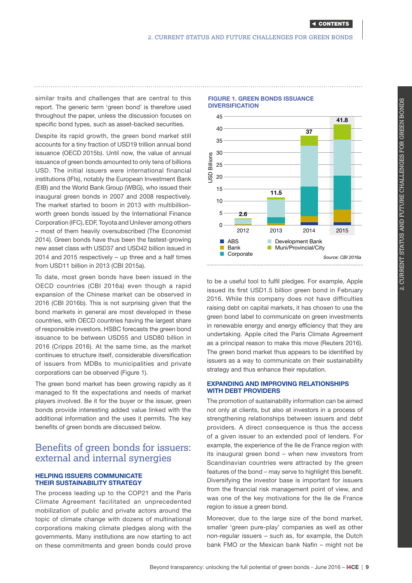<span id="page-8-0"></span>similar traits and challenges that are central to this report. The generic term 'green bond' is therefore used throughout the paper, unless the discussion focuses on specific bond types, such as asset-backed securities.

Despite its rapid growth, the green bond market still accounts for a tiny fraction of USD19 trillion annual bond issuance (OECD 2015b). Until now, the value of annual issuance of green bonds amounted to only tens of billions USD. The initial issuers were international financial institutions (IFIs), notably the European Investment Bank (EIB) and the World Bank Group (WBG), who issued their inaugural green bonds in 2007 and 2008 respectively. The market started to boom in 2013 with multibillionworth green bonds issued by the International Finance Corporation (IFC), EDF, Toyota and Unilever among others – most of them heavily oversubscribed (The Economist 2014). Green bonds have thus been the fastest-growing new asset class with USD37 and USD42 billion issued in 2014 and 2015 respectively – up three and a half times from USD11 billion in 2013 (CBI 2015a).

To date, most green bonds have been issued in the OECD countries (CBI 2016a) even though a rapid expansion of the Chinese market can be observed in 2016 (CBI 2016b). This is not surprising given that the bond markets in general are most developed in these countries, with OECD countries having the largest share of responsible investors. HSBC forecasts the green bond issuance to be between USD55 and USD80 billion in 2016 (Cripps 2016). At the same time, as the market continues to structure itself, considerable diversification of issuers from MDBs to municipalities and private corporations can be observed (Figure 1).

The green bond market has been growing rapidly as it managed to fit the expectations and needs of market players involved. Be it for the buyer or the issuer, green bonds provide interesting added value linked with the additional information and the uses it permits. The key benefits of green bonds are discussed below.

## Benefits of green bonds for issuers: external and internal synergies

## HELPING ISSUERS COMMUNICATE THEIR SUSTAINABILITY STRATEGY

The process leading up to the COP21 and the Paris Climate Agreement facilitated an unprecedented mobilization of public and private actors around the topic of climate change with dozens of multinational corporations making climate pledges along with the governments. Many institutions are now starting to act on these commitments and green bonds could prove

## FIGURE 1. GREEN BONDS ISSUANCE **DIVERSIFICATION**



to be a useful tool to fulfil pledges. For example, Apple issued its first USD1.5 billion green bond in February 2016. While this company does not have difficulties raising debt on capital markets, it has chosen to use the green bond label to communicate on green investments in renewable energy and energy efficiency that they are undertaking. Apple cited the Paris Climate Agreement as a principal reason to make this move (Reuters 2016). The green bond market thus appears to be identified by issuers as a way to communicate on their sustainability strategy and thus enhance their reputation.

## EXPANDING AND IMPROVING RELATIONSHIPS WITH DEBT PROVIDERS

The promotion of sustainability information can be aimed not only at clients, but also at investors in a process of strengthening relationships between issuers and debt providers. A direct consequence is thus the access of a given issuer to an extended pool of lenders. For example, the experience of the Ile de France region with its inaugural green bond – when new investors from Scandinavian countries were attracted by the green features of the bond – may serve to highlight this benefit. Diversifying the investor base is important for issuers from the financial risk management point of view, and was one of the key motivations for the Ile de France region to issue a green bond.

Moreover, due to the large size of the bond market, smaller 'green pure-play' companies as well as other non-regular issuers – such as, for example, the Dutch bank FMO or the Mexican bank Nafin – might not be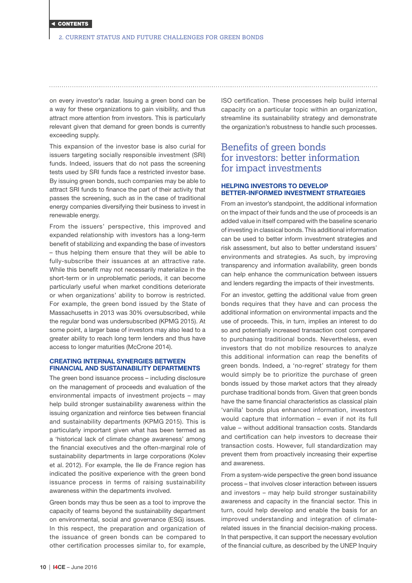<span id="page-9-0"></span>on every investor's radar. Issuing a green bond can be a way for these organizations to gain visibility, and thus attract more attention from investors. This is particularly relevant given that demand for green bonds is currently exceeding supply.

This expansion of the investor base is also curial for issuers targeting socially responsible investment (SRI) funds. Indeed, issuers that do not pass the screening tests used by SRI funds face a restricted investor base. By issuing green bonds, such companies may be able to attract SRI funds to finance the part of their activity that passes the screening, such as in the case of traditional energy companies diversifying their business to invest in renewable energy.

From the issuers' perspective, this improved and expanded relationship with investors has a long-term benefit of stabilizing and expanding the base of investors – thus helping them ensure that they will be able to fully-subscribe their issuances at an attractive rate. While this benefit may not necessarily materialize in the short-term or in unproblematic periods, it can become particularly useful when market conditions deteriorate or when organizations' ability to borrow is restricted. For example, the green bond issued by the State of Massachusetts in 2013 was 30% oversubscribed, while the regular bond was undersubscribed (KPMG 2015). At some point, a larger base of investors may also lead to a greater ability to reach long term lenders and thus have access to longer maturities (McCrone 2014).

## CREATING INTERNAL SYNERGIES BETWEEN FINANCIAL AND SUSTAINABILITY DEPARTMENTS

The green bond issuance process – including disclosure on the management of proceeds and evaluation of the environmental impacts of investment projects – may help build stronger sustainability awareness within the issuing organization and reinforce ties between financial and sustainability departments (KPMG 2015). This is particularly important given what has been termed as a 'historical lack of climate change awareness' among the financial executives and the often-marginal role of sustainability departments in large corporations (Kolev et al. 2012). For example, the Ile de France region has indicated the positive experience with the green bond issuance process in terms of raising sustainability awareness within the departments involved.

Green bonds may thus be seen as a tool to improve the capacity of teams beyond the sustainability department on environmental, social and governance (ESG) issues. In this respect, the preparation and organization of the issuance of green bonds can be compared to other certification processes similar to, for example, ISO certification. These processes help build internal capacity on a particular topic within an organization, streamline its sustainability strategy and demonstrate the organization's robustness to handle such processes.

## Benefits of green bonds for investors: better information for impact investments

## HELPING INVESTORS TO DEVELOP BETTER-INFORMED INVESTMENT STRATEGIES

From an investor's standpoint, the additional information on the impact of their funds and the use of proceeds is an added value in itself compared with the baseline scenario of investing in classical bonds. This additional information can be used to better inform investment strategies and risk assessment, but also to better understand issuers' environments and strategies. As such, by improving transparency and information availability, green bonds can help enhance the communication between issuers and lenders regarding the impacts of their investments.

For an investor, getting the additional value from green bonds requires that they have and can process the additional information on environmental impacts and the use of proceeds. This, in turn, implies an interest to do so and potentially increased transaction cost compared to purchasing traditional bonds. Nevertheless, even investors that do not mobilize resources to analyze this additional information can reap the benefits of green bonds. Indeed, a 'no-regret' strategy for them would simply be to prioritize the purchase of green bonds issued by those market actors that they already purchase traditional bonds from. Given that green bonds have the same financial characteristics as classical plain 'vanilla' bonds plus enhanced information, investors would capture that information – even if not its full value – without additional transaction costs. Standards and certification can help investors to decrease their transaction costs. However, full standardization may prevent them from proactively increasing their expertise and awareness.

From a system-wide perspective the green bond issuance process – that involves closer interaction between issuers and investors – may help build stronger sustainability awareness and capacity in the financial sector. This in turn, could help develop and enable the basis for an improved understanding and integration of climaterelated issues in the financial decision-making process. In that perspective, it can support the necessary evolution of the financial culture, as described by the UNEP Inquiry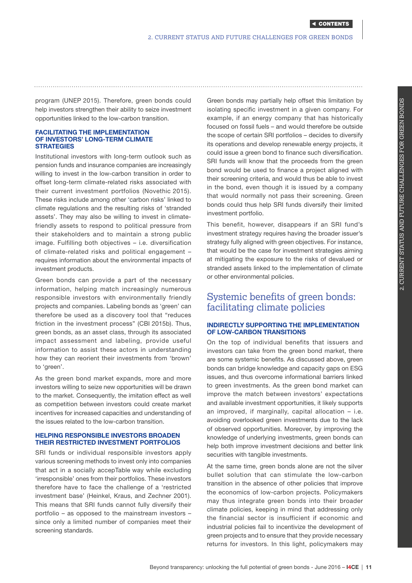<span id="page-10-0"></span>program (UNEP 2015). Therefore, green bonds could help investors strengthen their ability to seize investment opportunities linked to the low-carbon transition.

#### FACILITATING THE IMPLEMENTATION OF INVESTORS' LONG-TERM CLIMATE **STRATEGIES**

Institutional investors with long-term outlook such as pension funds and insurance companies are increasingly willing to invest in the low-carbon transition in order to offset long-term climate-related risks associated with their current investment portfolios (Novethic 2015). These risks include among other 'carbon risks' linked to climate regulations and the resulting risks of 'stranded assets'. They may also be willing to invest in climatefriendly assets to respond to political pressure from their stakeholders and to maintain a strong public image. Fulfilling both objectives – i.e. diversification of climate-related risks and political engagement – requires information about the environmental impacts of investment products.

Green bonds can provide a part of the necessary information, helping match increasingly numerous responsible investors with environmentally friendly projects and companies. Labeling bonds as 'green' can therefore be used as a discovery tool that "reduces friction in the investment process" (CBI 2015b). Thus, green bonds, as an asset class, through its associated impact assessment and labeling, provide useful information to assist these actors in understanding how they can reorient their investments from 'brown' to 'green'.

As the green bond market expands, more and more investors willing to seize new opportunities will be drawn to the market. Consequently, the imitation effect as well as competition between investors could create market incentives for increased capacities and understanding of the issues related to the low-carbon transition.

## HELPING RESPONSIBLE INVESTORS BROADEN THEIR RESTRICTED INVESTMENT PORTFOLIOS

SRI funds or individual responsible investors apply various screening methods to invest only into companies that act in a socially accepTable way while excluding 'irresponsible' ones from their portfolios. These investors therefore have to face the challenge of a 'restricted investment base' (Heinkel, Kraus, and Zechner 2001). This means that SRI funds cannot fully diversify their portfolio – as opposed to the mainstream investors – since only a limited number of companies meet their screening standards.

Green bonds may partially help offset this limitation by isolating specific investment in a given company. For example, if an energy company that has historically focused on fossil fuels – and would therefore be outside the scope of certain SRI portfolios – decides to diversify its operations and develop renewable energy projects, it could issue a green bond to finance such diversification. SRI funds will know that the proceeds from the green bond would be used to finance a project aligned with their screening criteria, and would thus be able to invest in the bond, even though it is issued by a company that would normally not pass their screening. Green bonds could thus help SRI funds diversify their limited investment portfolio.

This benefit, however, disappears if an SRI fund's investment strategy requires having the broader issuer's strategy fully aligned with green objectives. For instance, that would be the case for investment strategies aiming at mitigating the exposure to the risks of devalued or stranded assets linked to the implementation of climate or other environmental policies.

## Systemic benefits of green bonds: facilitating climate policies

## INDIRECTLY SUPPORTING THE IMPLEMENTATION OF LOW-CARBON TRANSITIONS

On the top of individual benefits that issuers and investors can take from the green bond market, there are some systemic benefits. As discussed above, green bonds can bridge knowledge and capacity gaps on ESG issues, and thus overcome informational barriers linked to green investments. As the green bond market can improve the match between investors' expectations and available investment opportunities, it likely supports an improved, if marginally, capital allocation – i.e. avoiding overlooked green investments due to the lack of observed opportunities. Moreover, by improving the knowledge of underlying investments, green bonds can help both improve investment decisions and better link securities with tangible investments.

At the same time, green bonds alone are not the silver bullet solution that can stimulate the low-carbon transition in the absence of other policies that improve the economics of low-carbon projects. Policymakers may thus integrate green bonds into their broader climate policies, keeping in mind that addressing only the financial sector is insufficient if economic and industrial policies fail to incentivize the development of green projects and to ensure that they provide necessary returns for investors. In this light, policymakers may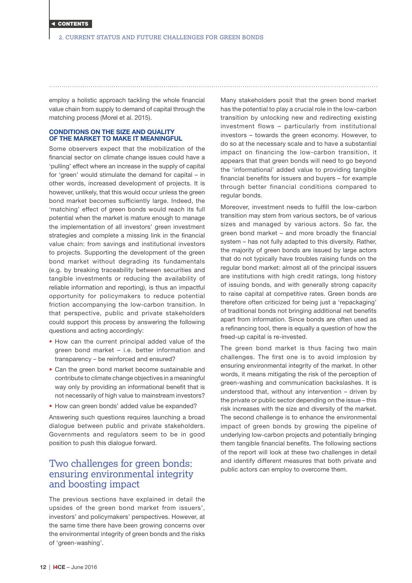<span id="page-11-0"></span>employ a holistic approach tackling the whole financial value chain from supply to demand of capital through the matching process (Morel et al. 2015).

## CONDITIONS ON THE SIZE AND QUALITY OF THE MARKET TO MAKE IT MEANINGFUL

Some observers expect that the mobilization of the financial sector on climate change issues could have a 'pulling' effect where an increase in the supply of capital for 'green' would stimulate the demand for capital – in other words, increased development of projects. It is however, unlikely, that this would occur unless the green bond market becomes sufficiently large. Indeed, the 'matching' effect of green bonds would reach its full potential when the market is mature enough to manage the implementation of all investors' green investment strategies and complete a missing link in the financial value chain: from savings and institutional investors to projects. Supporting the development of the green bond market without degrading its fundamentals (e.g. by breaking traceability between securities and tangible investments or reducing the availability of reliable information and reporting), is thus an impactful opportunity for policymakers to reduce potential friction accompanying the low-carbon transition. In that perspective, public and private stakeholders could support this process by answering the following questions and acting accordingly:

- How can the current principal added value of the green bond market – i.e. better information and transparency – be reinforced and ensured?
- Can the green bond market become sustainable and contribute to climate change objectives in a meaningful way only by providing an informational benefit that is not necessarily of high value to mainstream investors?
- How can green bonds' added value be expanded?

Answering such questions requires launching a broad dialogue between public and private stakeholders. Governments and regulators seem to be in good position to push this dialogue forward.

## Two challenges for green bonds: ensuring environmental integrity and boosting impact

The previous sections have explained in detail the upsides of the green bond market from issuers', investors' and policymakers' perspectives. However, at the same time there have been growing concerns over the environmental integrity of green bonds and the risks of 'green-washing'.

Many stakeholders posit that the green bond market has the potential to play a crucial role in the low-carbon transition by unlocking new and redirecting existing investment flows – particularly from institutional investors – towards the green economy. However, to do so at the necessary scale and to have a substantial impact on financing the low-carbon transition, it appears that that green bonds will need to go beyond the 'informational' added value to providing tangible financial benefits for issuers and buyers – for example through better financial conditions compared to regular bonds.

Moreover, investment needs to fulfill the low-carbon transition may stem from various sectors, be of various sizes and managed by various actors. So far, the green bond market – and more broadly the financial system – has not fully adapted to this diversity. Rather, the majority of green bonds are issued by large actors that do not typically have troubles raising funds on the regular bond market: almost all of the principal issuers are institutions with high credit ratings, long history of issuing bonds, and with generally strong capacity to raise capital at competitive rates. Green bonds are therefore often criticized for being just a 'repackaging' of traditional bonds not bringing additional net benefits apart from information. Since bonds are often used as a refinancing tool, there is equally a question of how the freed-up capital is re-invested.

The green bond market is thus facing two main challenges. The first one is to avoid implosion by ensuring environmental integrity of the market. In other words, it means mitigating the risk of the perception of green-washing and communication backslashes. It is understood that, without any intervention – driven by the private or public sector depending on the issue – this risk increases with the size and diversity of the market. The second challenge is to enhance the environmental impact of green bonds by growing the pipeline of underlying low-carbon projects and potentially bringing them tangible financial benefits. The following sections of the report will look at these two challenges in detail and identify different measures that both private and public actors can employ to overcome them.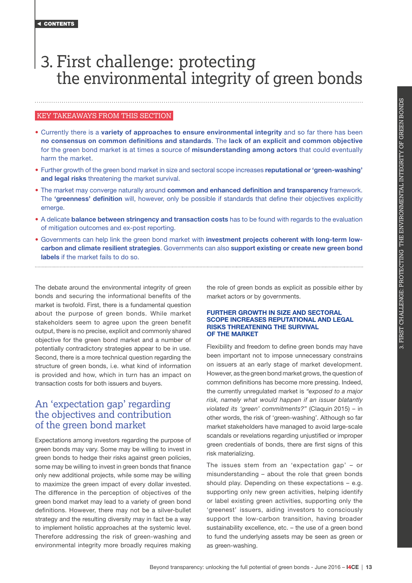## <span id="page-12-0"></span>3. First challenge: protecting the environmental integrity of green bonds

### KEY TAKEAWAYS FROM THIS SECTION

- Currently there is a variety of approaches to ensure environmental integrity and so far there has been no consensus on common definitions and standards. The lack of an explicit and common objective for the green bond market is at times a source of **misunderstanding among actors** that could eventually harm the market.
- Further growth of the green bond market in size and sectoral scope increases reputational or 'green-washing' and legal risks threatening the market survival.
- The market may converge naturally around common and enhanced definition and transparency framework. The 'greenness' definition will, however, only be possible if standards that define their objectives explicitly emerge.
- A delicate balance between stringency and transaction costs has to be found with regards to the evaluation of mitigation outcomes and ex-post reporting.
- Governments can help link the green bond market with investment projects coherent with long-term lowcarbon and climate resilient strategies. Governments can also support existing or create new green bond labels if the market fails to do so.

The debate around the environmental integrity of green bonds and securing the informational benefits of the market is twofold. First, there is a fundamental question about the purpose of green bonds. While market stakeholders seem to agree upon the green benefit output, there is no precise, explicit and commonly shared objective for the green bond market and a number of potentially contradictory strategies appear to be in use. Second, there is a more technical question regarding the structure of green bonds, i.e. what kind of information is provided and how, which in turn has an impact on transaction costs for both issuers and buyers.

## An 'expectation gap' regarding the objectives and contribution of the green bond market

Expectations among investors regarding the purpose of green bonds may vary. Some may be willing to invest in green bonds to hedge their risks against green policies, some may be willing to invest in green bonds that finance only new additional projects, while some may be willing to maximize the green impact of every dollar invested. The difference in the perception of objectives of the green bond market may lead to a variety of green bond definitions. However, there may not be a silver-bullet strategy and the resulting diversity may in fact be a way to implement holistic approaches at the systemic level. Therefore addressing the risk of green-washing and environmental integrity more broadly requires making

the role of green bonds as explicit as possible either by market actors or by governments.

### FURTHER GROWTH IN SIZE AND SECTORAL SCOPE INCREASES REPUTATIONAL AND LEGAL RISKS THREATENING THE SURVIVAL OF THE MARKET

Flexibility and freedom to define green bonds may have been important not to impose unnecessary constrains on issuers at an early stage of market development. However, as the green bond market grows, the question of common definitions has become more pressing. Indeed, the currently unregulated market is *"exposed to a major risk, namely what would happen if an issuer blatantly violated its 'green' commitments?"* (Claquin 2015) – in other words, the risk of 'green-washing'. Although so far market stakeholders have managed to avoid large-scale scandals or revelations regarding unjustified or improper green credentials of bonds, there are first signs of this risk materializing.

The issues stem from an 'expectation gap' – or misunderstanding – about the role that green bonds should play. Depending on these expectations – e.g. supporting only new green activities, helping identify or label existing green activities, supporting only the 'greenest' issuers, aiding investors to consciously support the low-carbon transition, having broader sustainability excellence, etc. – the use of a green bond to fund the underlying assets may be seen as green or as green-washing.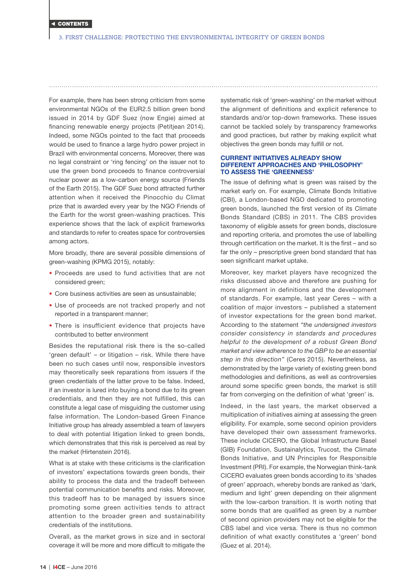For example, there has been strong criticism from some environmental NGOs of the EUR2.5 billion green bond issued in 2014 by GDF Suez (now Engie) aimed at financing renewable energy projects (Petitjean 2014). Indeed, some NGOs pointed to the fact that proceeds would be used to finance a large hydro power project in Brazil with environmental concerns. Moreover, there was no legal constraint or 'ring fencing' on the issuer not to use the green bond proceeds to finance controversial nuclear power as a low-carbon energy source (Friends of the Earth 2015). The GDF Suez bond attracted further attention when it received the Pinocchio du Climat prize that is awarded every year by the NGO Friends of the Earth for the worst green-washing practices. This experience shows that the lack of explicit frameworks and standards to refer to creates space for controversies among actors.

More broadly, there are several possible dimensions of green-washing (KPMG 2015), notably:

- Proceeds are used to fund activities that are not considered green;
- Core business activities are seen as unsustainable;
- Use of proceeds are not tracked properly and not reported in a transparent manner;
- There is insufficient evidence that projects have contributed to better environment

Besides the reputational risk there is the so-called 'green default' – or litigation – risk. While there have been no such cases until now, responsible investors may theoretically seek reparations from issuers if the green credentials of the latter prove to be false. Indeed, if an investor is lured into buying a bond due to its green credentials, and then they are not fulfilled, this can constitute a legal case of misguiding the customer using false information. The London-based Green Finance Initiative group has already assembled a team of lawyers to deal with potential litigation linked to green bonds, which demonstrates that this risk is perceived as real by the market (Hirtenstein 2016).

What is at stake with these criticisms is the clarification of investors' expectations towards green bonds, their ability to process the data and the tradeoff between potential communication benefits and risks. Moreover, this tradeoff has to be managed by issuers since promoting some green activities tends to attract attention to the broader green and sustainability credentials of the institutions.

Overall, as the market grows in size and in sectoral coverage it will be more and more difficult to mitigate the

systematic risk of 'green-washing' on the market without the alignment of definitions and explicit reference to standards and/or top-down frameworks. These issues cannot be tackled solely by transparency frameworks and good practices, but rather by making explicit what objectives the green bonds may fulfill or not.

### CURRENT INITIATIVES ALREADY SHOW DIFFERENT APPROACHES AND 'PHILOSOPHY' TO ASSESS THE 'GREENNESS'

The issue of defining what is green was raised by the market early on. For example, Climate Bonds Initiative (CBI), a London-based NGO dedicated to promoting green bonds, launched the first version of its Climate Bonds Standard (CBS) in 2011. The CBS provides taxonomy of eligible assets for green bonds, disclosure and reporting criteria, and promotes the use of labelling through certification on the market. It is the first – and so far the only – prescriptive green bond standard that has seen significant market uptake.

Moreover, key market players have recognized the risks discussed above and therefore are pushing for more alignment in definitions and the development of standards. For example, last year Ceres – with a coalition of major investors – published a statement of investor expectations for the green bond market. According to the statement *"the undersigned investors consider consistency in standards and procedures helpful to the development of a robust Green Bond market and view adherence to the GBP to be an essential step in this direction"* (Ceres 2015). Nevertheless, as demonstrated by the large variety of existing green bond methodologies and definitions, as well as controversies around some specific green bonds, the market is still far from converging on the definition of what 'green' is.

Indeed, in the last years, the market observed a multiplication of initiatives aiming at assessing the green eligibility. For example, some second opinion providers have developed their own assessment frameworks. These include CICERO, the Global Infrastructure Basel (GIB) Foundation, Sustainalytics, Trucost, the Climate Bonds Initiative, and UN Principles for Responsible Investment (PRI). For example, the Norwegian think-tank CICERO evaluates green bonds according to its 'shades of green' approach, whereby bonds are ranked as 'dark, medium and light' green depending on their alignment with the low-carbon transition. It is worth noting that some bonds that are qualified as green by a number of second opinion providers may not be eligible for the CBS label and vice versa. There is thus no common definition of what exactly constitutes a 'green' bond (Guez et al. 2014).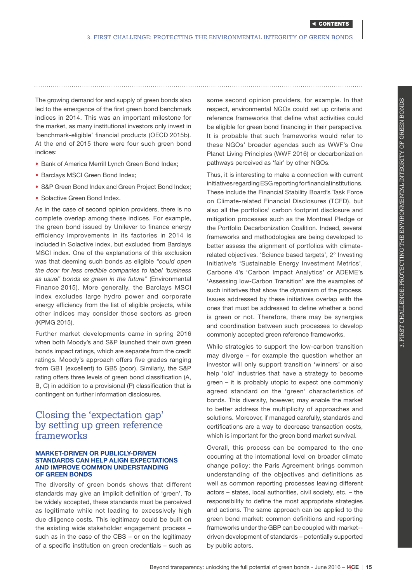<span id="page-14-0"></span>The growing demand for and supply of green bonds also led to the emergence of the first green bond benchmark indices in 2014. This was an important milestone for the market, as many institutional investors only invest in 'benchmark-eligible' financial products (OECD 2015b). At the end of 2015 there were four such green bond indices:

- Bank of America Merrill Lynch Green Bond Index;
- Barclays MSCI Green Bond Index;
- S&P Green Bond Index and Green Project Bond Index;
- Solactive Green Bond Index.

As in the case of second opinion providers, there is no complete overlap among these indices. For example, the green bond issued by Unilever to finance energy efficiency improvements in its factories in 2014 is included in Solactive index, but excluded from Barclays MSCI index. One of the explanations of this exclusion was that deeming such bonds as eligible *"could open the door for less credible companies to label 'business as usual' bonds as green in the future"* (Environmental Finance 2015). More generally, the Barclays MSCI index excludes large hydro power and corporate energy efficiency from the list of eligible projects, while other indices may consider those sectors as green (KPMG 2015).

Further market developments came in spring 2016 when both Moody's and S&P launched their own green bonds impact ratings, which are separate from the credit ratings. Moody's approach offers five grades ranging from GB1 (excellent) to GB5 (poor). Similarly, the S&P rating offers three levels of green bond classification (A, B, C) in addition to a provisional (P) classification that is contingent on further information disclosures.

## Closing the 'expectation gap' by setting up green reference frameworks

#### MARKET-DRIVEN OR PUBLICLY-DRIVEN STANDARDS CAN HELP ALIGN EXPECTATIONS AND IMPROVE COMMON UNDERSTANDING OF GREEN BONDS

The diversity of green bonds shows that different standards may give an implicit definition of 'green'. To be widely accepted, these standards must be perceived as legitimate while not leading to excessively high due diligence costs. This legitimacy could be built on the existing wide stakeholder engagement process – such as in the case of the CBS – or on the legitimacy of a specific institution on green credentials – such as

some second opinion providers, for example. In that respect, environmental NGOs could set up criteria and reference frameworks that define what activities could be eligible for green bond financing in their perspective. It is probable that such frameworks would refer to these NGOs' broader agendas such as WWF's One Planet Living Principles (WWF 2016) or decarbonization pathways perceived as 'fair' by other NGOs.

Thus, it is interesting to make a connection with current initiatives regarding ESG reporting for financial institutions. These include the Financial Stability Board's Task Force on Climate-related Financial Disclosures (TCFD), but also all the portfolios' carbon footprint disclosure and mitigation processes such as the Montreal Pledge or the Portfolio Decarbonization Coalition. Indeed, several frameworks and methodologies are being developed to better assess the alignment of portfolios with climaterelated objectives. 'Science based targets', 2° Investing Initiative's 'Sustainable Energy Investment Metrics', Carbone 4's 'Carbon Impact Analytics' or ADEME's 'Assessing low-Carbon Transition' are the examples of such initiatives that show the dynamism of the process. Issues addressed by these initiatives overlap with the ones that must be addressed to define whether a bond is green or not. Therefore, there may be synergies and coordination between such processes to develop commonly accepted green reference frameworks.

While strategies to support the low-carbon transition may diverge – for example the question whether an investor will only support transition 'winners' or also help 'old' industries that have a strategy to become green – it is probably utopic to expect one commonly agreed standard on the 'green' characteristics of bonds. This diversity, however, may enable the market to better address the multiplicity of approaches and solutions. Moreover, if managed carefully, standards and certifications are a way to decrease transaction costs, which is important for the green bond market survival.

Overall, this process can be compared to the one occurring at the international level on broader climate change policy: the Paris Agreement brings common understanding of the objectives and definitions as well as common reporting processes leaving different actors – states, local authorities, civil society, etc. – the responsibility to define the most appropriate strategies and actions. The same approach can be applied to the green bond market: common definitions and reporting frameworks under the GBP can be coupled with market- driven development of standards – potentially supported by public actors.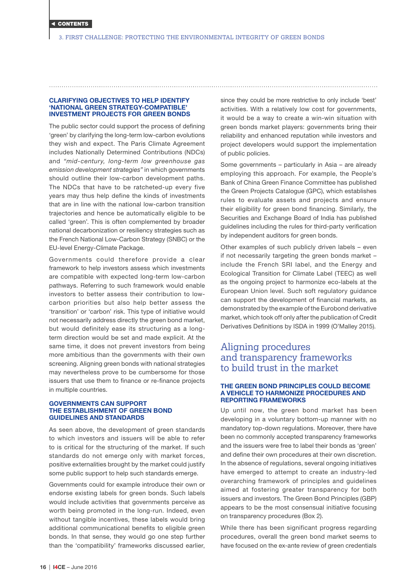#### <span id="page-15-0"></span>CLARIFYING OBJECTIVES TO HELP IDENTIFY 'NATIONAL GREEN STRATEGY-COMPATIBLE' INVESTMENT PROJECTS FOR GREEN BONDS

The public sector could support the process of defining 'green' by clarifying the long-term low-carbon evolutions they wish and expect. The Paris Climate Agreement includes Nationally Determined Contributions (NDCs) and *"mid-century, long-term low greenhouse gas emission development strategies"* in which governments should outline their low-carbon development paths. The NDCs that have to be ratcheted-up every five years may thus help define the kinds of investments that are in line with the national low-carbon transition trajectories and hence be automatically eligible to be called 'green'. This is often complemented by broader national decarbonization or resiliency strategies such as the French National Low-Carbon Strategy (SNBC) or the EU-level Energy-Climate Package.

Governments could therefore provide a clear framework to help investors assess which investments are compatible with expected long-term low-carbon pathways. Referring to such framework would enable investors to better assess their contribution to lowcarbon priorities but also help better assess the 'transition' or 'carbon' risk. This type of initiative would not necessarily address directly the green bond market, but would definitely ease its structuring as a longterm direction would be set and made explicit. At the same time, it does not prevent investors from being more ambitious than the governments with their own screening. Aligning green bonds with national strategies may nevertheless prove to be cumbersome for those issuers that use them to finance or re-finance projects in multiple countries.

#### GOVERNMENTS CAN SUPPORT THE ESTABLISHMENT OF GREEN BOND GUIDELINES AND STANDARDS

As seen above, the development of green standards to which investors and issuers will be able to refer to is critical for the structuring of the market. If such standards do not emerge only with market forces, positive externalities brought by the market could justify some public support to help such standards emerge.

Governments could for example introduce their own or endorse existing labels for green bonds. Such labels would include activities that governments perceive as worth being promoted in the long-run. Indeed, even without tangible incentives, these labels would bring additional communicational benefits to eligible green bonds. In that sense, they would go one step further than the 'compatibility' frameworks discussed earlier, since they could be more restrictive to only include 'best' activities. With a relatively low cost for governments, it would be a way to create a win-win situation with green bonds market players: governments bring their reliability and enhanced reputation while investors and project developers would support the implementation of public policies.

Some governments – particularly in Asia – are already employing this approach. For example, the People's Bank of China Green Finance Committee has published the Green Projects Catalogue (GPC), which establishes rules to evaluate assets and projects and ensure their eligibility for green bond financing. Similarly, the Securities and Exchange Board of India has published guidelines including the rules for third-party verification by independent auditors for green bonds.

Other examples of such publicly driven labels – even if not necessarily targeting the green bonds market – include the French SRI label, and the Energy and Ecological Transition for Climate Label (TEEC) as well as the ongoing project to harmonize eco-labels at the European Union level. Such soft regulatory guidance can support the development of financial markets, as demonstrated by the example of the Eurobond derivative market, which took off only after the publication of Credit Derivatives Definitions by ISDA in 1999 (O'Malley 2015).

## Aligning procedures and transparency frameworks to build trust in the market

#### THE GREEN BOND PRINCIPLES COULD BECOME A VEHICLE TO HARMONIZE PROCEDURES AND REPORTING FRAMEWORKS

Up until now, the green bond market has been developing in a voluntary bottom-up manner with no mandatory top-down regulations. Moreover, there have been no commonly accepted transparency frameworks and the issuers were free to label their bonds as 'green' and define their own procedures at their own discretion. In the absence of regulations, several ongoing initiatives have emerged to attempt to create an industry-led overarching framework of principles and guidelines aimed at fostering greater transparency for both issuers and investors. The Green Bond Principles (GBP) appears to be the most consensual initiative focusing on transparency procedures (Box 2).

While there has been significant progress regarding procedures, overall the green bond market seems to have focused on the ex-ante review of green credentials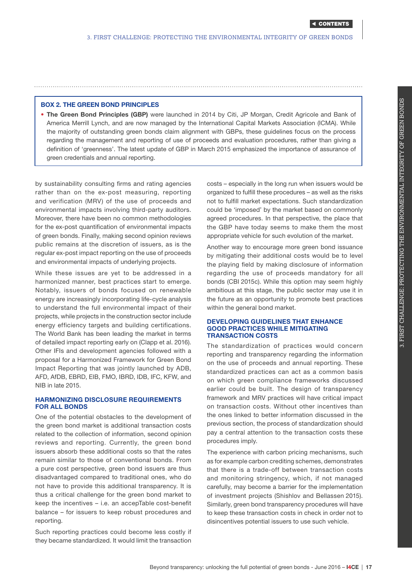## BOX 2. THE GREEN BOND PRINCIPLES

• The Green Bond Principles (GBP) were launched in 2014 by Citi, JP Morgan, Credit Agricole and Bank of America Merrill Lynch, and are now managed by the International Capital Markets Association (ICMA). While the majority of outstanding green bonds claim alignment with GBPs, these guidelines focus on the process regarding the management and reporting of use of proceeds and evaluation procedures, rather than giving a definition of 'greenness'. The latest update of GBP in March 2015 emphasized the importance of assurance of green credentials and annual reporting.

by sustainability consulting firms and rating agencies rather than on the ex-post measuring, reporting and verification (MRV) of the use of proceeds and environmental impacts involving third-party auditors. Moreover, there have been no common methodologies for the ex-post quantification of environmental impacts of green bonds. Finally, making second opinion reviews public remains at the discretion of issuers, as is the regular ex-post impact reporting on the use of proceeds and environmental impacts of underlying projects.

While these issues are yet to be addressed in a harmonized manner, best practices start to emerge. Notably, issuers of bonds focused on renewable energy are increasingly incorporating life-cycle analysis to understand the full environmental impact of their projects, while projects in the construction sector include energy efficiency targets and building certifications. The World Bank has been leading the market in terms of detailed impact reporting early on (Clapp et al. 2016). Other IFIs and development agencies followed with a proposal for a Harmonized Framework for Green Bond Impact Reporting that was jointly launched by ADB, AFD, AfDB, EBRD, EIB, FMO, IBRD, IDB, IFC, KFW, and NIB in late 2015.

## HARMONIZING DISCLOSURE REQUIREMENTS FOR ALL BONDS

One of the potential obstacles to the development of the green bond market is additional transaction costs related to the collection of information, second opinion reviews and reporting. Currently, the green bond issuers absorb these additional costs so that the rates remain similar to those of conventional bonds. From a pure cost perspective, green bond issuers are thus disadvantaged compared to traditional ones, who do not have to provide this additional transparency. It is thus a critical challenge for the green bond market to keep the incentives – i.e. an accepTable cost-benefit balance – for issuers to keep robust procedures and reporting.

Such reporting practices could become less costly if they became standardized. It would limit the transaction

costs – especially in the long run when issuers would be organized to fulfill these procedures – as well as the risks not to fulfill market expectations. Such standardization could be 'imposed' by the market based on commonly agreed procedures. In that perspective, the place that the GBP have today seems to make them the most appropriate vehicle for such evolution of the market.

Another way to encourage more green bond issuance by mitigating their additional costs would be to level the playing field by making disclosure of information regarding the use of proceeds mandatory for all bonds (CBI 2015c). While this option may seem highly ambitious at this stage, the public sector may use it in the future as an opportunity to promote best practices within the general bond market.

#### DEVELOPING GUIDELINES THAT ENHANCE GOOD PRACTICES WHILE MITIGATING TRANSACTION COSTS

The standardization of practices would concern reporting and transparency regarding the information on the use of proceeds and annual reporting. These standardized practices can act as a common basis on which green compliance frameworks discussed earlier could be built. The design of transparency framework and MRV practices will have critical impact on transaction costs. Without other incentives than the ones linked to better information discussed in the previous section, the process of standardization should pay a central attention to the transaction costs these procedures imply.

The experience with carbon pricing mechanisms, such as for example carbon crediting schemes, demonstrates that there is a trade-off between transaction costs and monitoring stringency, which, if not managed carefully, may become a barrier for the implementation of investment projects (Shishlov and Bellassen 2015). Similarly, green bond transparency procedures will have to keep these transaction costs in check in order not to disincentives potential issuers to use such vehicle.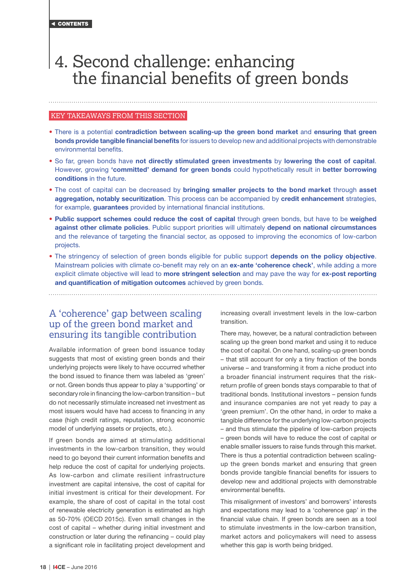## <span id="page-17-0"></span>4. Second challenge: enhancing the financial benefits of green bonds

## KEY TAKEAWAYS FROM THIS SECTION

- There is a potential contradiction between scaling-up the green bond market and ensuring that green bonds provide tangible financial benefits for issuers to develop new and additional projects with demonstrable environmental benefits.
- So far, green bonds have not directly stimulated green investments by lowering the cost of capital. However, growing 'committed' demand for green bonds could hypothetically result in better borrowing conditions in the future.
- The cost of capital can be decreased by bringing smaller projects to the bond market through asset aggregation, notably securitization. This process can be accompanied by credit enhancement strategies, for example, guarantees provided by international financial institutions.
- Public support schemes could reduce the cost of capital through green bonds, but have to be weighed against other climate policies. Public support priorities will ultimately depend on national circumstances and the relevance of targeting the financial sector, as opposed to improving the economics of low-carbon projects.
- The stringency of selection of green bonds eligible for public support depends on the policy objective. Mainstream policies with climate co-benefit may rely on an ex-ante 'coherence check', while adding a more explicit climate objective will lead to more stringent selection and may pave the way for ex-post reporting and quantification of mitigation outcomes achieved by green bonds.

A 'coherence' gap between scaling up of the green bond market and ensuring its tangible contribution

Available information of green bond issuance today suggests that most of existing green bonds and their underlying projects were likely to have occurred whether the bond issued to finance them was labeled as 'green' or not. Green bonds thus appear to play a 'supporting' or secondary role in financing the low-carbon transition – but do not necessarily stimulate increased net investment as most issuers would have had access to financing in any case (high credit ratings, reputation, strong economic model of underlying assets or projects, etc.).

If green bonds are aimed at stimulating additional investments in the low-carbon transition, they would need to go beyond their current information benefits and help reduce the cost of capital for underlying projects. As low-carbon and climate resilient infrastructure investment are capital intensive, the cost of capital for initial investment is critical for their development. For example, the share of cost of capital in the total cost of renewable electricity generation is estimated as high as 50-70% (OECD 2015c). Even small changes in the cost of capital – whether during initial investment and construction or later during the refinancing – could play a significant role in facilitating project development and

increasing overall investment levels in the low-carbon transition.

There may, however, be a natural contradiction between scaling up the green bond market and using it to reduce the cost of capital. On one hand, scaling-up green bonds – that still account for only a tiny fraction of the bonds universe – and transforming it from a niche product into a broader financial instrument requires that the riskreturn profile of green bonds stays comparable to that of traditional bonds. Institutional investors – pension funds and insurance companies are not yet ready to pay a 'green premium'. On the other hand, in order to make a tangible difference for the underlying low-carbon projects – and thus stimulate the pipeline of low-carbon projects – green bonds will have to reduce the cost of capital or enable smaller issuers to raise funds through this market. There is thus a potential contradiction between scalingup the green bonds market and ensuring that green bonds provide tangible financial benefits for issuers to develop new and additional projects with demonstrable environmental benefits.

This misalignment of investors' and borrowers' interests and expectations may lead to a 'coherence gap' in the financial value chain. If green bonds are seen as a tool to stimulate investments in the low-carbon transition, market actors and policymakers will need to assess whether this gap is worth being bridged.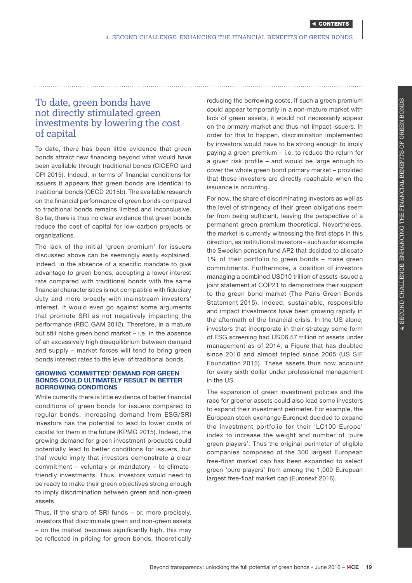## <span id="page-18-0"></span>To date, green bonds have not directly stimulated green investments by lowering the cost of capital

To date, there has been little evidence that green bonds attract new financing beyond what would have been available through traditional bonds (CICERO and CPI 2015). Indeed, in terms of financial conditions for issuers it appears that green bonds are identical to traditional bonds (OECD 2015b). The available research on the financial performance of green bonds compared to traditional bonds remains limited and inconclusive. So far, there is thus no clear evidence that green bonds reduce the cost of capital for low-carbon projects or organizations.

The lack of the initial 'green premium' for issuers discussed above can be seemingly easily explained. Indeed, in the absence of a specific mandate to give advantage to green bonds, accepting a lower interest rate compared with traditional bonds with the same financial characteristics is not compatible with fiduciary duty and more broadly with mainstream investors' interest. It would even go against some arguments that promote SRI as not negatively impacting the performance (RBC GAM 2012). Therefore, in a mature but still niche green bond market – i.e. in the absence of an excessively high disequilibrium between demand and supply – market forces will tend to bring green bonds interest rates to the level of traditional bonds.

### GROWING 'COMMITTED' DEMAND FOR GREEN BONDS COULD ULTIMATELY RESULT IN BETTER BORROWING CONDITIONS

While currently there is little evidence of better financial conditions of green bonds for issuers compared to regular bonds, increasing demand from ESG/SRI investors has the potential to lead to lower costs of capital for them in the future (KPMG 2015). Indeed, the growing demand for green investment products could potentially lead to better conditions for issuers, but that would imply that investors demonstrate a clear commitment – voluntary or mandatory – to climatefriendly investments. Thus, investors would need to be ready to make their green objectives strong enough to imply discrimination between green and non-green assets.

Thus, if the share of SRI funds – or, more precisely, investors that discriminate green and non-green assets – on the market becomes significantly high, this may be reflected in pricing for green bonds, theoretically

reducing the borrowing costs. If such a green premium could appear temporarily in a non-mature market with lack of green assets, it would not necessarily appear on the primary market and thus not impact issuers. In order for this to happen, discrimination implemented by investors would have to be strong enough to imply paying a green premium – i.e. to reduce the return for a given risk profile – and would be large enough to cover the whole green bond primary market – provided that these investors are directly reachable when the issuance is occurring.

For now, the share of discriminating investors as well as the level of stringency of their green obligations seem far from being sufficient, leaving the perspective of a permanent green premium theoretical. Nevertheless, the market is currently witnessing the first steps in this direction, as institutional investors – such as for example the Swedish pension fund AP2 that decided to allocate 1% of their portfolio to green bonds – make green commitments. Furthermore, a coalition of investors managing a combined USD10 trillion of assets issued a joint statement at COP21 to demonstrate their support to the green bond market (The Paris Green Bonds Statement 2015). Indeed, sustainable, responsible and impact investments have been growing rapidly in the aftermath of the financial crisis. In the US alone, investors that incorporate in their strategy some form of ESG screening had USD6.57 trillion of assets under management as of 2014, a Figure that has doubled since 2010 and almost tripled since 2005 (US SIF Foundation 2015). These assets thus now account for every sixth dollar under professional management in the US.

The expansion of green investment policies and the race for greener assets could also lead some investors to expand their investment perimeter. For example, the European stock exchange Euronext decided to expand the investment portfolio for their 'LC100 Europe' index to increase the weight and number of 'pure green players'. Thus the original perimeter of eligible companies composed of the 300 largest European free-float market cap has been expanded to select green 'pure players' from among the 1,000 European largest free-float market cap (Euronext 2016).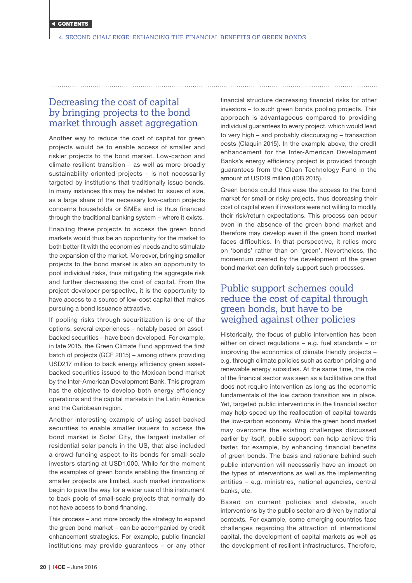## <span id="page-19-0"></span>Decreasing the cost of capital by bringing projects to the bond market through asset aggregation

Another way to reduce the cost of capital for green projects would be to enable access of smaller and riskier projects to the bond market. Low-carbon and climate resilient transition – as well as more broadly sustainability-oriented projects – is not necessarily targeted by institutions that traditionally issue bonds. In many instances this may be related to issues of size, as a large share of the necessary low-carbon projects concerns households or SMEs and is thus financed through the traditional banking system – where it exists.

Enabling these projects to access the green bond markets would thus be an opportunity for the market to both better fit with the economies' needs and to stimulate the expansion of the market. Moreover, bringing smaller projects to the bond market is also an opportunity to pool individual risks, thus mitigating the aggregate risk and further decreasing the cost of capital. From the project developer perspective, it is the opportunity to have access to a source of low-cost capital that makes pursuing a bond issuance attractive.

If pooling risks through securitization is one of the options, several experiences – notably based on assetbacked securities – have been developed. For example, in late 2015, the Green Climate Fund approved the first batch of projects (GCF 2015) – among others providing USD217 million to back energy efficiency green assetbacked securities issued to the Mexican bond market by the Inter-American Development Bank. This program has the objective to develop both energy efficiency operations and the capital markets in the Latin America and the Caribbean region.

Another interesting example of using asset-backed securities to enable smaller issuers to access the bond market is Solar City, the largest installer of residential solar panels in the US, that also included a crowd-funding aspect to its bonds for small-scale investors starting at USD1,000. While for the moment the examples of green bonds enabling the financing of smaller projects are limited, such market innovations begin to pave the way for a wider use of this instrument to back pools of small-scale projects that normally do not have access to bond financing.

This process – and more broadly the strategy to expand the green bond market – can be accompanied by credit enhancement strategies. For example, public financial institutions may provide guarantees – or any other

financial structure decreasing financial risks for other investors – to such green bonds pooling projects. This approach is advantageous compared to providing individual guarantees to every project, which would lead to very high – and probably discouraging – transaction costs (Claquin 2015). In the example above, the credit enhancement for the Inter-American Development Banks's energy efficiency project is provided through guarantees from the Clean Technology Fund in the amount of USD19 million (IDB 2015).

Green bonds could thus ease the access to the bond market for small or risky projects, thus decreasing their cost of capital even if investors were not willing to modify their risk/return expectations. This process can occur even in the absence of the green bond market and therefore may develop even if the green bond market faces difficulties. In that perspective, it relies more on 'bonds' rather than on 'green'. Nevertheless, the momentum created by the development of the green bond market can definitely support such processes.

## Public support schemes could reduce the cost of capital through green bonds, but have to be weighed against other policies

Historically, the focus of public intervention has been either on direct regulations – e.g. fuel standards – or improving the economics of climate friendly projects – e.g. through climate policies such as carbon pricing and renewable energy subsidies. At the same time, the role of the financial sector was seen as a facilitative one that does not require intervention as long as the economic fundamentals of the low carbon transition are in place. Yet, targeted public interventions in the financial sector may help speed up the reallocation of capital towards the low-carbon economy. While the green bond market may overcome the existing challenges discussed earlier by itself, public support can help achieve this faster, for example, by enhancing financial benefits of green bonds. The basis and rationale behind such public intervention will necessarily have an impact on the types of interventions as well as the implementing entities – e.g. ministries, national agencies, central banks, etc.

Based on current policies and debate, such interventions by the public sector are driven by national contexts. For example, some emerging countries face challenges regarding the attraction of international capital, the development of capital markets as well as the development of resilient infrastructures. Therefore,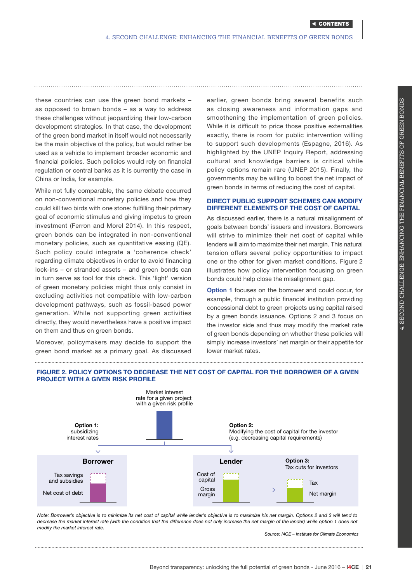these countries can use the green bond markets – as opposed to brown bonds – as a way to address these challenges without jeopardizing their low-carbon development strategies. In that case, the development of the green bond market in itself would not necessarily be the main objective of the policy, but would rather be used as a vehicle to implement broader economic and financial policies. Such policies would rely on financial regulation or central banks as it is currently the case in China or India, for example.

While not fully comparable, the same debate occurred on non-conventional monetary policies and how they could kill two birds with one stone: fulfilling their primary goal of economic stimulus and giving impetus to green investment (Ferron and Morel 2014). In this respect, green bonds can be integrated in non-conventional monetary policies, such as quantitative easing (QE). Such policy could integrate a 'coherence check' regarding climate objectives in order to avoid financing lock-ins – or stranded assets – and green bonds can in turn serve as tool for this check. This 'light' version of green monetary policies might thus only consist in excluding activities not compatible with low-carbon development pathways, such as fossil-based power generation. While not supporting green activities directly, they would nevertheless have a positive impact on them and thus on green bonds.

Moreover, policymakers may decide to support the green bond market as a primary goal. As discussed

earlier, green bonds bring several benefits such as closing awareness and information gaps and smoothening the implementation of green policies. While it is difficult to price those positive externalities exactly, there is room for public intervention willing to support such developments (Espagne, 2016). As highlighted by the UNEP Inquiry Report, addressing cultural and knowledge barriers is critical while policy options remain rare (UNEP 2015). Finally, the governments may be willing to boost the net impact of green bonds in terms of reducing the cost of capital.

## DIRECT PUBLIC SUPPORT SCHEMES CAN MODIFY DIFFERENT ELEMENTS OF THE COST OF CAPITAL

As discussed earlier, there is a natural misalignment of goals between bonds' issuers and investors. Borrowers will strive to minimize their net cost of capital while lenders will aim to maximize their net margin. This natural tension offers several policy opportunities to impact one or the other for given market conditions. Figure 2 illustrates how policy intervention focusing on green bonds could help close the misalignment gap.

**Option 1** focuses on the borrower and could occur, for example, through a public financial institution providing concessional debt to green projects using capital raised by a green bonds issuance. Options 2 and 3 focus on the investor side and thus may modify the market rate of green bonds depending on whether these policies will simply increase investors' net margin or their appetite for lower market rates.



FIGURE 2. POLICY OPTIONS TO DECREASE THE NET COST OF CAPITAL FOR THE BORROWER OF A GIVEN PROJECT WITH A GIVEN RISK PROFILE

*Note: Borrower's objective is to minimize its net cost of capital while lender's objective is to maximize his net margin. Options 2 and 3 will tend to decrease the market interest rate (with the condition that the difference does not only increase the net margin of the lender) while option 1 does not modify the market interest rate.* 

*Source: I4CE – Institute for Climate Economics*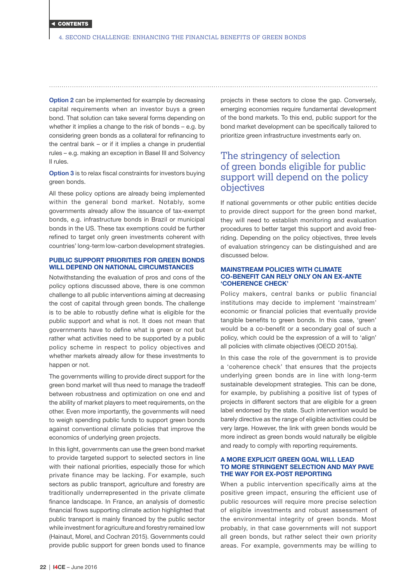<span id="page-21-0"></span>**Option 2** can be implemented for example by decreasing capital requirements when an investor buys a green bond. That solution can take several forms depending on whether it implies a change to the risk of bonds – e.g. by considering green bonds as a collateral for refinancing to the central bank – or if it implies a change in prudential rules – e.g. making an exception in Basel III and Solvency II rules.

Option 3 is to relax fiscal constraints for investors buying green bonds.

All these policy options are already being implemented within the general bond market. Notably, some governments already allow the issuance of tax-exempt bonds, e.g. infrastructure bonds in Brazil or municipal bonds in the US. These tax exemptions could be further refined to target only green investments coherent with countries' long-term low-carbon development strategies.

## PUBLIC SUPPORT PRIORITIES FOR GREEN BONDS WILL DEPEND ON NATIONAL CIRCUMSTANCES

Notwithstanding the evaluation of pros and cons of the policy options discussed above, there is one common challenge to all public interventions aiming at decreasing the cost of capital through green bonds. The challenge is to be able to robustly define what is eligible for the public support and what is not. It does not mean that governments have to define what is green or not but rather what activities need to be supported by a public policy scheme in respect to policy objectives and whether markets already allow for these investments to happen or not.

The governments willing to provide direct support for the green bond market will thus need to manage the tradeoff between robustness and optimization on one end and the ability of market players to meet requirements, on the other. Even more importantly, the governments will need to weigh spending public funds to support green bonds against conventional climate policies that improve the economics of underlying green projects.

In this light, governments can use the green bond market to provide targeted support to selected sectors in line with their national priorities, especially those for which private finance may be lacking. For example, such sectors as public transport, agriculture and forestry are traditionally underrepresented in the private climate finance landscape. In France, an analysis of domestic financial flows supporting climate action highlighted that public transport is mainly financed by the public sector while investment for agriculture and forestry remained low (Hainaut, Morel, and Cochran 2015). Governments could provide public support for green bonds used to finance projects in these sectors to close the gap. Conversely, emerging economies require fundamental development of the bond markets. To this end, public support for the bond market development can be specifically tailored to prioritize green infrastructure investments early on.

## The stringency of selection of green bonds eligible for public support will depend on the policy objectives

If national governments or other public entities decide to provide direct support for the green bond market, they will need to establish monitoring and evaluation procedures to better target this support and avoid freeriding. Depending on the policy objectives, three levels of evaluation stringency can be distinguished and are discussed below.

#### MAINSTREAM POLICIES WITH CLIMATE CO-BENEFIT CAN RELY ONLY ON AN EX-ANTE 'COHERENCE CHECK'

Policy makers, central banks or public financial institutions may decide to implement 'mainstream' economic or financial policies that eventually provide tangible benefits to green bonds. In this case, 'green' would be a co-benefit or a secondary goal of such a policy, which could be the expression of a will to 'align' all policies with climate objectives (OECD 2015a).

In this case the role of the government is to provide a 'coherence check' that ensures that the projects underlying green bonds are in line with long-term sustainable development strategies. This can be done, for example, by publishing a positive list of types of projects in different sectors that are eligible for a green label endorsed by the state. Such intervention would be barely directive as the range of eligible activities could be very large. However, the link with green bonds would be more indirect as green bonds would naturally be eligible and ready to comply with reporting requirements.

### A MORE EXPLICIT GREEN GOAL WILL LEAD TO MORE STRINGENT SELECTION AND MAY PAVE THE WAY FOR EX-POST REPORTING

When a public intervention specifically aims at the positive green impact, ensuring the efficient use of public resources will require more precise selection of eligible investments and robust assessment of the environmental integrity of green bonds. Most probably, in that case governments will not support all green bonds, but rather select their own priority areas. For example, governments may be willing to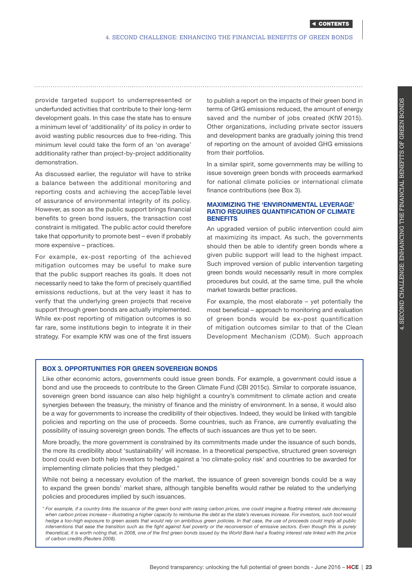provide targeted support to underrepresented or underfunded activities that contribute to their long-term development goals. In this case the state has to ensure a minimum level of 'additionality' of its policy in order to avoid wasting public resources due to free-riding. This minimum level could take the form of an 'on average' additionality rather than project-by-project additionality demonstration.

As discussed earlier, the regulator will have to strike a balance between the additional monitoring and reporting costs and achieving the accepTable level of assurance of environmental integrity of its policy. However, as soon as the public support brings financial benefits to green bond issuers, the transaction cost constraint is mitigated. The public actor could therefore take that opportunity to promote best – even if probably more expensive – practices.

For example, ex-post reporting of the achieved mitigation outcomes may be useful to make sure that the public support reaches its goals. It does not necessarily need to take the form of precisely quantified emissions reductions, but at the very least it has to verify that the underlying green projects that receive support through green bonds are actually implemented. While ex-post reporting of mitigation outcomes is so far rare, some institutions begin to integrate it in their strategy. For example KfW was one of the first issuers

to publish a report on the impacts of their green bond in terms of GHG emissions reduced, the amount of energy saved and the number of jobs created (KfW 2015). Other organizations, including private sector issuers and development banks are gradually joining this trend of reporting on the amount of avoided GHG emissions from their portfolios.

In a similar spirit, some governments may be willing to issue sovereign green bonds with proceeds earmarked for national climate policies or international climate finance contributions (see Box 3).

## MAXIMIZING THE 'ENVIRONMENTAL LEVERAGE' RATIO REQUIRES QUANTIFICATION OF CLIMATE **BENEFITS**

An upgraded version of public intervention could aim at maximizing its impact. As such, the governments should then be able to identify green bonds where a given public support will lead to the highest impact. Such improved version of public intervention targeting green bonds would necessarily result in more complex procedures but could, at the same time, pull the whole market towards better practices.

For example, the most elaborate – yet potentially the most beneficial – approach to monitoring and evaluation of green bonds would be ex-post quantification of mitigation outcomes similar to that of the Clean Development Mechanism (CDM). Such approach

## BOX 3. OPPORTUNITIES FOR GREEN SOVEREIGN BONDS

Like other economic actors, governments could issue green bonds. For example, a government could issue a bond and use the proceeds to contribute to the Green Climate Fund (CBI 2015c). Similar to corporate issuance, sovereign green bond issuance can also help highlight a country's commitment to climate action and create synergies between the treasury, the ministry of finance and the ministry of environment. In a sense, it would also be a way for governments to increase the credibility of their objectives. Indeed, they would be linked with tangible policies and reporting on the use of proceeds. Some countries, such as France, are currently evaluating the possibility of issuing sovereign green bonds. The effects of such issuances are thus yet to be seen.

More broadly, the more government is constrained by its commitments made under the issuance of such bonds, the more its credibility about 'sustainability' will increase. In a theoretical perspective, structured green sovereign bond could even both help investors to hedge against a 'no climate-policy risk' and countries to be awarded for implementing climate policies that they pledged.\*

While not being a necessary evolution of the market, the issuance of green sovereign bonds could be a way to expand the green bonds' market share, although tangible benefits would rather be related to the underlying policies and procedures implied by such issuances.

nefits of green

bonds

*<sup>\*</sup> For example, if a country links the issuance of the green bond with raising carbon prices, one could imagine a floating interest rate decreasing*  when carbon prices increase - illustrating a higher capacity to reimburse the debt as the state's revenues increase. For investors, such tool would *hedge a too-high exposure to green assets that would rely on ambitious green policies. In that case, the use of proceeds could imply all public*  interventions that ease the transition such as the fight against fuel poverty or the reconversion of emissive sectors. Even though this is purely *theoretical, it is worth noting that, in 2008, one of the first green bonds issued by the World Bank had a floating interest rate linked with the price of carbon credits (Reuters 2008).*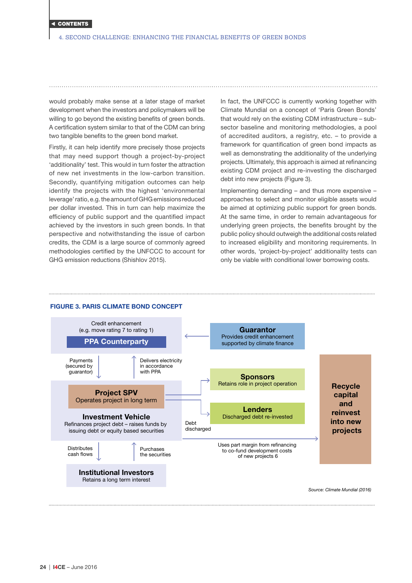would probably make sense at a later stage of market development when the investors and policymakers will be willing to go beyond the existing benefits of green bonds. A certification system similar to that of the CDM can bring two tangible benefits to the green bond market.

Firstly, it can help identify more precisely those projects that may need support though a project-by-project 'additionality' test. This would in turn foster the attraction of new net investments in the low-carbon transition. Secondly, quantifying mitigation outcomes can help identify the projects with the highest 'environmental leverage' ratio, e.g. the amount of GHG emissions reduced per dollar invested. This in turn can help maximize the efficiency of public support and the quantified impact achieved by the investors in such green bonds. In that perspective and notwithstanding the issue of carbon credits, the CDM is a large source of commonly agreed methodologies certified by the UNFCCC to account for GHG emission reductions (Shishlov 2015).

In fact, the UNFCCC is currently working together with Climate Mundial on a concept of 'Paris Green Bonds' that would rely on the existing CDM infrastructure – subsector baseline and monitoring methodologies, a pool of accredited auditors, a registry, etc. – to provide a framework for quantification of green bond impacts as well as demonstrating the additionality of the underlying projects. Ultimately, this approach is aimed at refinancing existing CDM project and re-investing the discharged debt into new projects (Figure 3).

Implementing demanding – and thus more expensive – approaches to select and monitor eligible assets would be aimed at optimizing public support for green bonds. At the same time, in order to remain advantageous for underlying green projects, the benefits brought by the public policy should outweigh the additional costs related to increased eligibility and monitoring requirements. In other words, 'project-by-project' additionality tests can only be viable with conditional lower borrowing costs.



#### FIGURE 3. PARIS CLIMATE BOND CONCEPT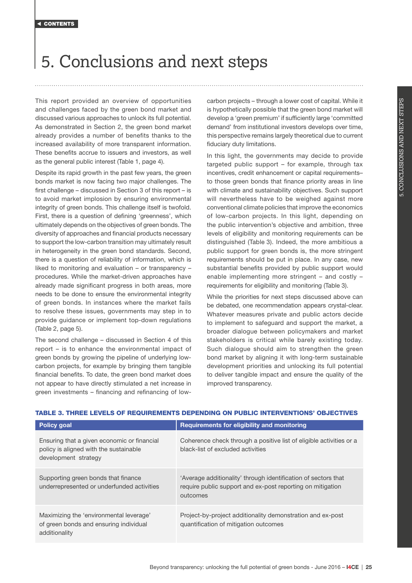## <span id="page-24-0"></span>5. Conclusions and next steps

This report provided an overview of opportunities and challenges faced by the green bond market and discussed various approaches to unlock its full potential. As demonstrated in Section 2, the green bond market already provides a number of benefits thanks to the increased availability of more transparent information. These benefits accrue to issuers and investors, as well as the general public interest (Table 1, page 4).

Despite its rapid growth in the past few years, the green bonds market is now facing two major challenges. The first challenge – discussed in Section 3 of this report – is to avoid market implosion by ensuring environmental integrity of green bonds. This challenge itself is twofold. First, there is a question of defining 'greenness', which ultimately depends on the objectives of green bonds. The diversity of approaches and financial products necessary to support the low-carbon transition may ultimately result in heterogeneity in the green bond standards. Second, there is a question of reliability of information, which is liked to monitoring and evaluation – or transparency – procedures. While the market-driven approaches have already made significant progress in both areas, more needs to be done to ensure the environmental integrity of green bonds. In instances where the market fails to resolve these issues, governments may step in to provide guidance or implement top-down regulations (Table 2, page 5).

The second challenge – discussed in Section 4 of this report – is to enhance the environmental impact of green bonds by growing the pipeline of underlying lowcarbon projects, for example by bringing them tangible financial benefits. To date, the green bond market does not appear to have directly stimulated a net increase in green investments – financing and refinancing of low-

carbon projects – through a lower cost of capital. While it is hypothetically possible that the green bond market will develop a 'green premium' if sufficiently large 'committed demand' from institutional investors develops over time, this perspective remains largely theoretical due to current fiduciary duty limitations.

In this light, the governments may decide to provide targeted public support – for example, through tax incentives, credit enhancement or capital requirementsto those green bonds that finance priority areas in line with climate and sustainability objectives. Such support will nevertheless have to be weighed against more conventional climate policies that improve the economics of low-carbon projects. In this light, depending on the public intervention's objective and ambition, three levels of eligibility and monitoring requirements can be distinguished (Table 3). Indeed, the more ambitious a public support for green bonds is, the more stringent requirements should be put in place. In any case, new substantial benefits provided by public support would enable implementing more stringent – and costly – requirements for eligibility and monitoring (Table 3).

While the priorities for next steps discussed above can be debated, one recommendation appears crystal-clear. Whatever measures private and public actors decide to implement to safeguard and support the market, a broader dialogue between policymakers and market stakeholders is critical while barely existing today. Such dialogue should aim to strengthen the green bond market by aligning it with long-term sustainable development priorities and unlocking its full potential to deliver tangible impact and ensure the quality of the improved transparency.

| <b>Policy goal</b>                                                                                            | Requirements for eligibility and monitoring                                                                                              |
|---------------------------------------------------------------------------------------------------------------|------------------------------------------------------------------------------------------------------------------------------------------|
| Ensuring that a given economic or financial<br>policy is aligned with the sustainable<br>development strategy | Coherence check through a positive list of eligible activities or a<br>black-list of excluded activities                                 |
| Supporting green bonds that finance<br>underrepresented or underfunded activities                             | 'Average additionality' through identification of sectors that<br>require public support and ex-post reporting on mitigation<br>outcomes |
| Maximizing the 'environmental leverage'<br>of green bonds and ensuring individual<br>additionality            | Project-by-project additionality demonstration and ex-post<br>quantification of mitigation outcomes                                      |

## TABLE 3. THREE LEVELS OF REQUIREMENTS DEPENDING ON PUBLIC INTERVENTIONS' OBJECTIVES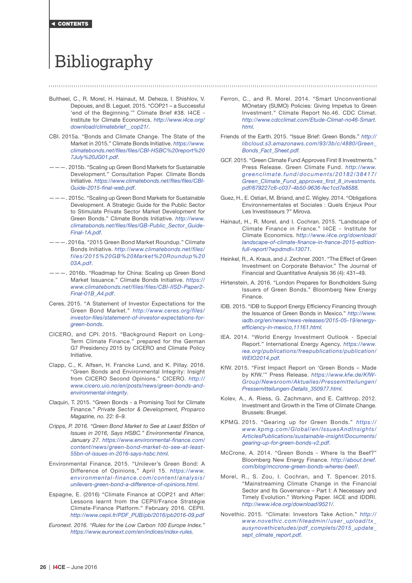<span id="page-25-0"></span>[CONTENTS](#page-1-0)

# Bibliography

Bultheel, C., R. Morel, H. Hainaut, M. Deheza, I. Shishlov, V. Depoues, and B. Leguet. 2015. "COP21 – a Successful 'end of the Beginning.'" Climate Brief #38. I4CE - Institute for Climate Economics. *[http://www.i4ce.org/](http://www.i4ce.org/download/climatebrief__cop21/) [download/climatebrief\\_\\_cop21/](http://www.i4ce.org/download/climatebrief__cop21/)*.

- CBI. 2015a. "Bonds and Climate Change. The State of the Market in 2015." Climate Bonds Initiative. *[https://www.](https://www.climatebonds.net/files/files/CBI-HSBC%20report%207July%20JG01.pdf) [climatebonds.net/files/files/CBI-HSBC%20report%20](https://www.climatebonds.net/files/files/CBI-HSBC%20report%207July%20JG01.pdf) [7July%20JG01.pdf](https://www.climatebonds.net/files/files/CBI-HSBC%20report%207July%20JG01.pdf)*.
- ———. 2015b. "Scaling up Green Bond Markets for Sustainable Development." Consultation Paper. Climate Bonds Initiative. *[https://www.climatebonds.net/files/files/CBI-](https://www.climatebonds.net/files/files/CBI-Guide-2015-final-web.pdf)[Guide-2015-final-web.pdf](https://www.climatebonds.net/files/files/CBI-Guide-2015-final-web.pdf)*.
- ———. 2015c. "Scaling up Green Bond Markets for Sustainable Development. A Strategic Guide for the Public Sector to Stimulate Private Sector Market Development for Green Bonds." Climate Bonds Initiative. *[http://www.](http://www.climatebonds.net/files/files/GB-Public_Sector_Guide-Final-1A.pdf) [climatebonds.net/files/files/GB-Public\\_Sector\\_Guide-](http://www.climatebonds.net/files/files/GB-Public_Sector_Guide-Final-1A.pdf)[Final-1A.pdf](http://www.climatebonds.net/files/files/GB-Public_Sector_Guide-Final-1A.pdf)*.
- ———. 2016a. "2015 Green Bond Market Roundup." Climate Bonds Initiative. *[http://www.climatebonds.net/files/](http://www.climatebonds.net/files/files/2015%20GB%20Market%20Roundup%2003A.pdf) [files/2015%20GB%20Market%20Roundup%20](http://www.climatebonds.net/files/files/2015%20GB%20Market%20Roundup%2003A.pdf) [03A.pdf](http://www.climatebonds.net/files/files/2015%20GB%20Market%20Roundup%2003A.pdf)*.
- ———. 2016b. "Roadmap for China: Scaling up Green Bond Market Issuance." Climate Bonds Initiative. *[https://](https://www.climatebonds.net/files/files/CBI-IISD-Paper2-Final-01B_A4.pdf) [www.climatebonds.net/files/files/CBI-IISD-Paper2-](https://www.climatebonds.net/files/files/CBI-IISD-Paper2-Final-01B_A4.pdf) [Final-01B\\_A4.pdf](https://www.climatebonds.net/files/files/CBI-IISD-Paper2-Final-01B_A4.pdf)*.
- Ceres. 2015. "A Statement of Investor Expectations for the Green Bond Market." *[http://www.ceres.org/files/](http://www.ceres.org/files/investor-files/statement-of-investor-expectations-for-green-bonds) [investor-files/statement-of-investor-expectations-for](http://www.ceres.org/files/investor-files/statement-of-investor-expectations-for-green-bonds)[green-bonds](http://www.ceres.org/files/investor-files/statement-of-investor-expectations-for-green-bonds)*.
- CICERO, and CPI. 2015. "Background Report on Long-Term Climate Finance." prepared for the German G7 Presidency 2015 by CICERO and Climate Policy Initiative.
- Clapp, C., K. Alfsen, H. Francke Lund, and K. Pillay. 2016. "Green Bonds and Environmental Integrity: Insight from CICERO Second Opinions." CICERO. *[http://](http://www.cicero.uio.no/en/posts/news/green-bonds-and-environmental-integrity) [www.cicero.uio.no/en/posts/news/green-bonds-and](http://www.cicero.uio.no/en/posts/news/green-bonds-and-environmental-integrity)[environmental-integrity](http://www.cicero.uio.no/en/posts/news/green-bonds-and-environmental-integrity)*.
- Claquin, T. 2015. "Green Bonds a Promising Tool for Climate Finance." *Private Sector & Development, Proparco Magazine, no. 22: 6–9.*
- *Cripps, P. 2016. "Green Bond Market to See at Least \$55bn of Issues in 2016, Says HSBC." Environmental Finance, January 27. [https://www.environmental-finance.com/](https://www.environmental-finance.com/content/news/green-bond-market-to-see-at-least-55bn-of-issues-in-2016-says-hsbc.html) [content/news/green-bond-market-to-see-at-least-](https://www.environmental-finance.com/content/news/green-bond-market-to-see-at-least-55bn-of-issues-in-2016-says-hsbc.html)[55bn-of-issues-in-2016-says-hsbc.html.](https://www.environmental-finance.com/content/news/green-bond-market-to-see-at-least-55bn-of-issues-in-2016-says-hsbc.html)*
- Environmental Finance. 2015. "Unilever's Green Bond: A Difference of Opinions," April 15. *[https://www.](https://www.environmental-finance.com/content/analysis/unilevers-green-bond-a-difference-of-opinions.html) [environmental-finance.com/content/analysis/](https://www.environmental-finance.com/content/analysis/unilevers-green-bond-a-difference-of-opinions.html) [unilevers-green-bond-a-difference-of-opinions.html.](https://www.environmental-finance.com/content/analysis/unilevers-green-bond-a-difference-of-opinions.html)*
- Espagne, E. (2016) "Climate Finance at COP21 and After: Lessons learnt from the CEPII/France Stratégie Climate-Finance Platform." February 2016. CEPII*. [http://www.cepii.fr/PDF\\_PUB/pb/2016/pb2016-09.pdf](http://www.cepii.fr/PDF_PUB/pb/2016/pb2016-09.pdf)*
- *Euronext. 2016. "Rules for the Low Carbon 100 Europe Index." [https://www.euronext.com/en/indices/index-rules.](https://www.euronext.com/en/indices/index-rules)*
- Ferron, C., and R. Morel. 2014. "Smart Unconventional MOnetary (SUMO) Policies: Giving Impetus to Green Investment." Climate Report No.46. CDC Climat. *[http://www.cdcclimat.com/Etude-Climat-no46-Smart.](http://www.cdcclimat.com/Etude-Climat-no46-Smart.html) [html.](http://www.cdcclimat.com/Etude-Climat-no46-Smart.html)*
- Friends of the Earth. 2015. "Issue Brief: Green Bonds." *[http://](http://libcloud.s3.amazonaws.com/93/3b/c/4880/Green_Bonds_Fact_Sheet.pdf) [libcloud.s3.amazonaws.com/93/3b/c/4880/Green\\_](http://libcloud.s3.amazonaws.com/93/3b/c/4880/Green_Bonds_Fact_Sheet.pdf) [Bonds\\_Fact\\_Sheet.pdf.](http://libcloud.s3.amazonaws.com/93/3b/c/4880/Green_Bonds_Fact_Sheet.pdf)*
- GCF. 2015. "Green Climate Fund Approves First 8 Investments." Press Release. Green Climate Fund. *[http://www.](http://www.greenclimate.fund/documents/20182/38417/Green_Climate_Fund_approves_first_8_investments.pdf/679227c6-c037-4b50-9636-fec1cd7e8588) [greenclimate.fund/documents/20182/38417/](http://www.greenclimate.fund/documents/20182/38417/Green_Climate_Fund_approves_first_8_investments.pdf/679227c6-c037-4b50-9636-fec1cd7e8588) [Green\\_Climate\\_Fund\\_approves\\_first\\_8\\_investments.](http://www.greenclimate.fund/documents/20182/38417/Green_Climate_Fund_approves_first_8_investments.pdf/679227c6-c037-4b50-9636-fec1cd7e8588) [pdf/679227c6-c037-4b50-9636-fec1cd7e8588.](http://www.greenclimate.fund/documents/20182/38417/Green_Climate_Fund_approves_first_8_investments.pdf/679227c6-c037-4b50-9636-fec1cd7e8588)*
- Guez, H., E. Ostiari, M. Briand, and C. Wigley. 2014. "Obligations Environnementales et Sociales : Quels Enjeux Pour Les Investisseurs ?" Mirova.
- Hainaut, H., R. Morel, and I. Cochran. 2015. "Landscape of Climate Finance in France." I4CE - Institute for Climate Economics. h*[ttp://www.i4ce.org/download/](http://www.i4ce.org/download/landscape-of-climate-finance-in-france-2015-edition-full-report/?wpdmdl=13071) [landscape-of-climate-finance-in-france-2015-edition](http://www.i4ce.org/download/landscape-of-climate-finance-in-france-2015-edition-full-report/?wpdmdl=13071)[full-report/?wpdmdl=13071](http://www.i4ce.org/download/landscape-of-climate-finance-in-france-2015-edition-full-report/?wpdmdl=13071)*.
- Heinkel, R., A. Kraus, and J. Zechner. 2001. "The Effect of Green Investment on Corporate Behavior." The Journal of Financial and Quantitative Analysis 36 (4): 431–49.
- Hirtenstein, A. 2016. "London Prepares for Bondholders Suing Issuers of Green Bonds." Bloomberg New Energy Finance.
- IDB. 2015. "IDB to Support Energy Efficiency Financing through the Issuance of Green Bonds in Mexico." *[http://www.](http://www.iadb.org/en/news/news-releases/2015-05-19/energy-efficiency-in-mexico,11161.html) [iadb.org/en/news/news-releases/2015-05-19/energy](http://www.iadb.org/en/news/news-releases/2015-05-19/energy-efficiency-in-mexico,11161.html)[efficiency-in-mexico,11161.html](http://www.iadb.org/en/news/news-releases/2015-05-19/energy-efficiency-in-mexico,11161.html).*
- IEA. 2014. "World Energy Investment Outlook Special Report." International Energy Agency. *[https://www.](https://www.iea.org/publications/freepublications/publication/WEIO2014.pdf) [iea.org/publications/freepublications/publication/](https://www.iea.org/publications/freepublications/publication/WEIO2014.pdf) [WEIO2014.pdf](https://www.iea.org/publications/freepublications/publication/WEIO2014.pdf).*
- KfW. 2015. "First Impact Report on 'Green Bonds Made by KfW.'" Press Release. *[https://www.kfw.de/KfW-](https://www.kfw.de/KfW-Group/Newsroom/Aktuelles/Pressemitteilungen/Pressemitteilungen-Details_350977.html)[Group/Newsroom/Aktuelles/Pressemitteilungen/](https://www.kfw.de/KfW-Group/Newsroom/Aktuelles/Pressemitteilungen/Pressemitteilungen-Details_350977.html) [Pressemitteilungen-Details\\_350977.html.](https://www.kfw.de/KfW-Group/Newsroom/Aktuelles/Pressemitteilungen/Pressemitteilungen-Details_350977.html)*
- Kolev, A., A. Riess, G. Zachmann, and E. Calthrop. 2012. Investment and Growth in the Time of Climate Change. Brussels: Bruegel.
- KPMG. 2015. "Gearing up for Green Bonds." *[https://](https://www.kfw.de/KfW-Group/Newsroom/Aktuelles/Pressemitteilungen/Pressemitteilungen-Details_350977.html) [www.kpmg.com/Global/en/IssuesAndInsights/](https://www.kfw.de/KfW-Group/Newsroom/Aktuelles/Pressemitteilungen/Pressemitteilungen-Details_350977.html) [ArticlesPublications/sustainable-insight/Documents/](https://www.kfw.de/KfW-Group/Newsroom/Aktuelles/Pressemitteilungen/Pressemitteilungen-Details_350977.html) [gearing-up-for-green-bonds-v2.pdf.](https://www.kfw.de/KfW-Group/Newsroom/Aktuelles/Pressemitteilungen/Pressemitteilungen-Details_350977.html)*
- McCrone, A. 2014. "Green Bonds Where Is the Beef?" Bloomberg New Energy Finance. *[http://about.bnef.](http://about.bnef.com/blog/mccrone-green-bonds-wheres-beef/) [com/blog/mccrone-green-bonds-wheres-beef/](http://about.bnef.com/blog/mccrone-green-bonds-wheres-beef/).*
- Morel, R., S. Zou, I. Cochran, and T. Spencer. 2015. "Mainstreaming Climate Change in the Financial Sector and Its Governance – Part I: A Necessary and Timely Evolution." Working Paper. I4CE and IDDRI. *[http://www.i4ce.org/download/9521/.](http://www.i4ce.org/download/9521/)*
- Novethic. 2015. "Climate: Investors Take Action." *[http://](http://www.novethic.com/fileadmin//user_upload/tx_ausynovethicetudes/pdf_complets/2015_update_sept_climate_report.pdf) [www.novethic.com/fileadmin//user\\_upload/tx\\_](http://www.novethic.com/fileadmin//user_upload/tx_ausynovethicetudes/pdf_complets/2015_update_sept_climate_report.pdf) [ausynovethicetudes/pdf\\_complets/2015\\_update\\_](http://www.novethic.com/fileadmin//user_upload/tx_ausynovethicetudes/pdf_complets/2015_update_sept_climate_report.pdf) [sept\\_climate\\_report.pdf.](http://www.novethic.com/fileadmin//user_upload/tx_ausynovethicetudes/pdf_complets/2015_update_sept_climate_report.pdf)*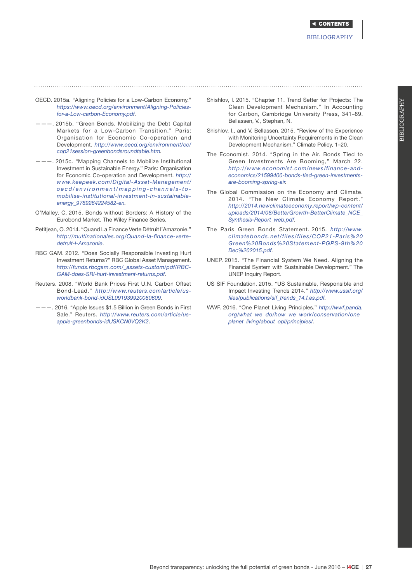#### **BIBLIOGRAPHY**

Bi

*[https://www.oecd.org/environment/Aligning-Policies](https://www.oecd.org/environment/Aligning-Policies-for-a-Low-carbon-Economy.pdf)[for-a-Low-carbon-Economy.pdf.](https://www.oecd.org/environment/Aligning-Policies-for-a-Low-carbon-Economy.pdf)*

- ———. 2015b. "Green Bonds. Mobilizing the Debt Capital Markets for a Low-Carbon Transition." Paris: Organisation for Economic Co-operation and Development. *[http://www.oecd.org/environment/cc/](http://www.oecd.org/environment/cc/cop21session-greenbondsroundtable.htm) [cop21session-greenbondsroundtable.htm.](http://www.oecd.org/environment/cc/cop21session-greenbondsroundtable.htm)*
- ———. 2015c. "Mapping Channels to Mobilize Institutional Investment in Sustainable Energy." Paris: Organisation for Economic Co-operation and Development. *[http://](www.keepeek.com/Digital-Asset-Management/oecd/environment/mapping-channels-to-mobilise-institutional-investment-in-sustainable-energy_9789264224582-en) [www.keepeek.com/Digital-Asset-Management/](www.keepeek.com/Digital-Asset-Management/oecd/environment/mapping-channels-to-mobilise-institutional-investment-in-sustainable-energy_9789264224582-en) [oecd/environment/mapping-channels-to](www.keepeek.com/Digital-Asset-Management/oecd/environment/mapping-channels-to-mobilise-institutional-investment-in-sustainable-energy_9789264224582-en)[mobilise-institutional-investment-in-sustainable](www.keepeek.com/Digital-Asset-Management/oecd/environment/mapping-channels-to-mobilise-institutional-investment-in-sustainable-energy_9789264224582-en)[energy\\_9789264224582-en](www.keepeek.com/Digital-Asset-Management/oecd/environment/mapping-channels-to-mobilise-institutional-investment-in-sustainable-energy_9789264224582-en).*
- O'Malley, C. 2015. Bonds without Borders: A History of the Eurobond Market. The Wiley Finance Series.
- Petitjean, O. 2014. "Quand La Finance Verte Détruit l'Amazonie." *[http://multinationales.org/Quand-la-finance-verte](http://multinationales.org/Quand-la-finance-verte-detruit-l-Amazonie)[detruit-l-Amazonie](http://multinationales.org/Quand-la-finance-verte-detruit-l-Amazonie)*.
- RBC GAM. 2012. "Does Socially Responsible Investing Hurt Investment Returns?" RBC Global Asset Management. *[http://funds.rbcgam.com/\\_assets-custom/pdf/RBC-](http://funds.rbcgam.com/_assets-custom/pdf/RBC-GAM-does-SRI-hurt-investment-returns.pdf)[GAM-does-SRI-hurt-investment-returns.pdf](http://funds.rbcgam.com/_assets-custom/pdf/RBC-GAM-does-SRI-hurt-investment-returns.pdf)*.
- Reuters. 2008. "World Bank Prices First U.N. Carbon Offset Bond-Lead." *[http://www.reuters.com/article/us](http://)[worldbank-bond-idUSL091939920080609](http://)*.
- ———. 2016. "Apple Issues \$1.5 Billion in Green Bonds in First Sale." Reuters. *[http://www.reuters.com/article/us](http://www.reuters.com/article/us-apple-greenbonds-idUSKCN0VQ2K2)[apple-greenbonds-idUSKCN0VQ2K2](http://www.reuters.com/article/us-apple-greenbonds-idUSKCN0VQ2K2)*.

OECD. 2015a. "Aligning Policies for a Low-Carbon Economy." Shishlov, I. 2015. "Chapter 11. Trend Setter for Projects: The  $\geq$ Clean Development Mechanism." In Accounting for Carbon, Cambridge University Press, 341–89. Bellassen, V., Stephan, N.

- Shishlov, I., and V. Bellassen. 2015. "Review of the Experience with Monitoring Uncertainty Requirements in the Clean Development Mechanism." Climate Policy, 1–20.
- The Economist. 2014. "Spring in the Air. Bonds Tied to Green Investments Are Booming," March 22. *[http://www.economist.com/news/finance-and](http://www.economist.com/news/finance-and-economics/21599400-bonds-tied-green-investments-are-booming-spring-air)[economics/21599400-bonds-tied-green-investments](http://www.economist.com/news/finance-and-economics/21599400-bonds-tied-green-investments-are-booming-spring-air)[are-booming-spring-air](http://www.economist.com/news/finance-and-economics/21599400-bonds-tied-green-investments-are-booming-spring-air).*
- The Global Commission on the Economy and Climate. 2014. "The New Climate Economy Report." *[http://2014.newclimateeconomy.report/wp-content/](http://2014.newclimateeconomy.report/wp-content/uploads/2014/08/BetterGrowth-BetterClimate_NCE_Synthesis-Report_web.pdf) [uploads/2014/08/BetterGrowth-BetterClimate\\_NCE\\_](http://2014.newclimateeconomy.report/wp-content/uploads/2014/08/BetterGrowth-BetterClimate_NCE_Synthesis-Report_web.pdf) [Synthesis-Report\\_web.pdf](http://2014.newclimateeconomy.report/wp-content/uploads/2014/08/BetterGrowth-BetterClimate_NCE_Synthesis-Report_web.pdf).*
- The Paris Green Bonds Statement. 2015. *[http://www.](http://www.climatebonds.net/files/files/COP21-Paris%20Green%20Bonds%20Statement-PGPS-9th%20Dec%202015.pdf) [climatebonds.net/files/files/COP21-Paris%20](http://www.climatebonds.net/files/files/COP21-Paris%20Green%20Bonds%20Statement-PGPS-9th%20Dec%202015.pdf) [Green%20Bonds%20Statement-PGPS-9th%20](http://www.climatebonds.net/files/files/COP21-Paris%20Green%20Bonds%20Statement-PGPS-9th%20Dec%202015.pdf) [Dec%202015.pdf.](http://www.climatebonds.net/files/files/COP21-Paris%20Green%20Bonds%20Statement-PGPS-9th%20Dec%202015.pdf)*
- UNEP. 2015. "The Financial System We Need. Aligning the Financial System with Sustainable Development." The UNEP Inquiry Report.
- US SIF Foundation. 2015. "US Sustainable, Responsible and Impact Investing Trends 2014." *[http://www.ussif.org/](http://www.ussif.org/files/publications/sif_trends_14.f.es.pdf) [files/publications/sif\\_trends\\_14.f.es.pdf](http://www.ussif.org/files/publications/sif_trends_14.f.es.pdf).*
- WWF. 2016. "One Planet Living Principles." *[http://wwf.panda.](http://wwf.panda.org/what_we_do/how_we_work/conservation/one_planet_living/about_opl/principles/) [org/what\\_we\\_do/how\\_we\\_work/conservation/one\\_](http://wwf.panda.org/what_we_do/how_we_work/conservation/one_planet_living/about_opl/principles/) [planet\\_living/about\\_opl/principles/](http://wwf.panda.org/what_we_do/how_we_work/conservation/one_planet_living/about_opl/principles/).*